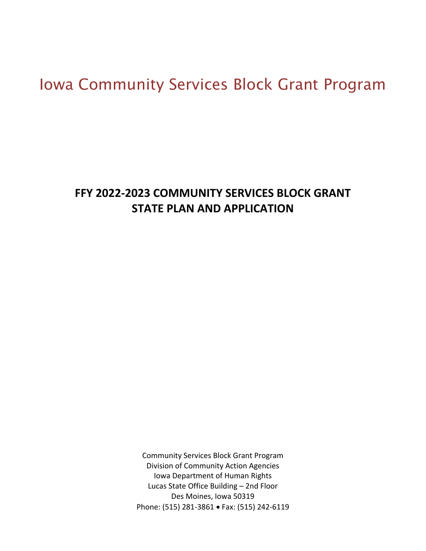# Iowa Community Services Block Grant Program

## **FFY 2022-2023 COMMUNITY SERVICES BLOCK GRANT STATE PLAN AND APPLICATION**

Community Services Block Grant Program Division of Community Action Agencies Iowa Department of Human Rights Lucas State Office Building – 2nd Floor Des Moines, Iowa 50319 Phone: (515) 281-3861 • Fax: (515) 242-6119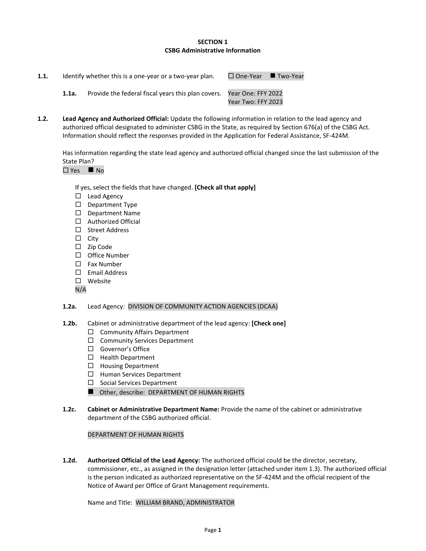## **SECTION 1 CSBG Administrative Information**

| 1.1. |       | Identify whether this is a one-year or a two-year plan.               | $\Box$ One-Year $\Box$ Two-Year |  |
|------|-------|-----------------------------------------------------------------------|---------------------------------|--|
|      | 1.1a. | Provide the federal fiscal years this plan covers. Year One: FFY 2022 | Year Two: FFY 2023              |  |

**1.2. Lead Agency and Authorized Official:** Update the following information in relation to the lead agency and authorized official designated to administer CSBG in the State, as required by Section 676(a) of the CSBG Act. Information should reflect the responses provided in the Application for Federal Assistance, SF-424M.

Has information regarding the state lead agency and authorized official changed since the last submission of the State Plan?

 $\Box$  Yes  $\blacksquare$  No

If yes, select the fields that have changed. **[Check all that apply]**

- $\Box$  Lead Agency
- D Department Type
- D Department Name
- □ Authorized Official
- □ Street Address
- $\square$  City
- $\Box$  Zip Code
- $\Box$  Office Number
- □ Fax Number
- $\square$  Email Address
- □ Website

N/A

## **1.2a.** Lead Agency: DIVISION OF COMMUNITY ACTION AGENCIES (DCAA)

- **1.2b.** Cabinet or administrative department of the lead agency: **[Check one]**
	- $\Box$  Community Affairs Department
	- □ Community Services Department
	- □ Governor's Office
	- $\Box$  Health Department
	- $\Box$  Housing Department
	- $\Box$  Human Services Department
	- $\square$  Social Services Department
	- Other, describe: DEPARTMENT OF HUMAN RIGHTS
- **1.2c. Cabinet or Administrative Department Name:** Provide the name of the cabinet or administrative department of the CSBG authorized official.

## DEPARTMENT OF HUMAN RIGHTS

**1.2d. Authorized Official of the Lead Agency:** The authorized official could be the director, secretary, commissioner, etc., as assigned in the designation letter (attached under item 1.3). The authorized official is the person indicated as authorized representative on the SF-424M and the official recipient of the Notice of Award per Office of Grant Management requirements.

Name and Title:WILLIAM BRAND, ADMINISTRATOR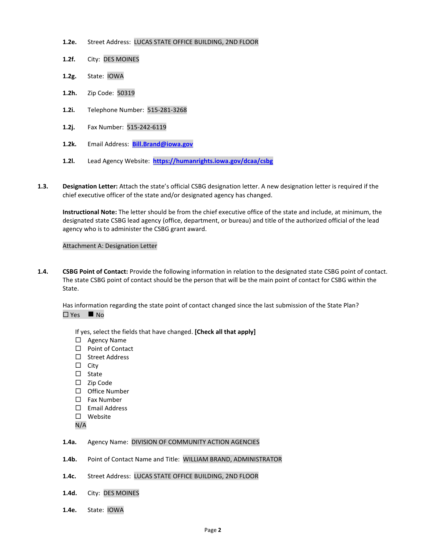- **1.2e.** Street Address: LUCAS STATE OFFICE BUILDING, 2ND FLOOR
- **1.2f.** City: DES MOINES
- **1.2g.** State: IOWA
- **1.2h.** Zip Code: 50319
- **1.2i.** Telephone Number: 515-281-3268
- **1.2j.** Fax Number: 515-242-6119
- **1.2k.** Email Address: **[Bill.Brand@iowa.gov](mailto:Bill.Brand@iowa.gov)**
- **1.2l.** Lead Agency Website: **<https://humanrights.iowa.gov/dcaa/csbg>**
- **1.3. Designation Letter:** Attach the state's official CSBG designation letter. A new designation letter is required if the chief executive officer of the state and/or designated agency has changed.

**Instructional Note:** The letter should be from the chief executive office of the state and include, at minimum, the designated state CSBG lead agency (office, department, or bureau) and title of the authorized official of the lead agency who is to administer the CSBG grant award.

## Attachment A: Designation Letter

**1.4. CSBG Point of Contact:** Provide the following information in relation to the designated state CSBG point of contact. The state CSBG point of contact should be the person that will be the main point of contact for CSBG within the State.

Has information regarding the state point of contact changed since the last submission of the State Plan? Yes ◼ No

If yes, select the fields that have changed. **[Check all that apply]**

- □ Agency Name
- $\Box$  Point of Contact
- □ Street Address
- $\square$  City
- $\square$  State
- $\square$  Zip Code
- $\square$  Office Number
- $\Box$  Fax Number
- $\Box$  Email Address
- □ Website
- N/A

#### **1.4a.** Agency Name: DIVISION OF COMMUNITY ACTION AGENCIES

- **1.4b.** Point of Contact Name and Title: WILLIAM BRAND, ADMINISTRATOR
- **1.4c.** Street Address: LUCAS STATE OFFICE BUILDING, 2ND FLOOR
- **1.4d.** City: DES MOINES
- **1.4e.** State: IOWA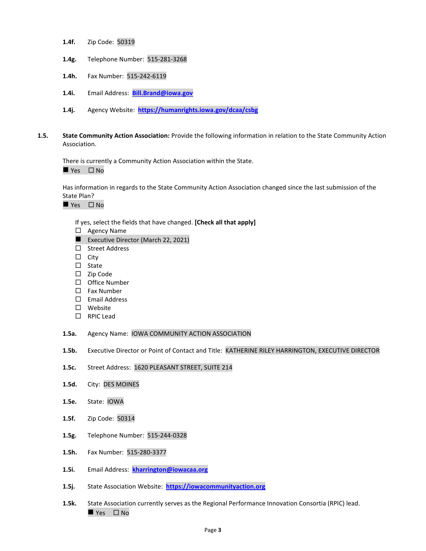- **1.4f.** Zip Code: 50319
- **1.4g.** Telephone Number: 515-281-3268
- **1.4h.** Fax Number: 515-242-6119
- **1.4i.** Email Address: **[Bill.Brand@iowa.gov](mailto:Bill.Brand@iowa.gov)**
- **1.4j.** Agency Website: **<https://humanrights.iowa.gov/dcaa/csbg>**
- **1.5. State Community Action Association:** Provide the following information in relation to the State Community Action Association.

There is currently a Community Action Association within the State.

 $\blacksquare$  Yes  $\Box$  No

Has information in regards to the State Community Action Association changed since the last submission of the State Plan?

■ Yes □ No

If yes, select the fields that have changed. **[Check all that apply]**

- □ Agency Name
- Executive Director (March 22, 2021)
- □ Street Address
- $\Box$  City
- $\square$  State
- $\square$  Zip Code
- $\square$  Office Number
- $\square$  Fax Number
- Email Address
- □ Website
- □ RPIC Lead
- **1.5a.** Agency Name: IOWA COMMUNITY ACTION ASSOCIATION
- **1.5b.** Executive Director or Point of Contact and Title: KATHERINE RILEY HARRINGTON, EXECUTIVE DIRECTOR
- **1.5c.** Street Address: 1620 PLEASANT STREET, SUITE 214
- **1.5d.** City: DES MOINES
- **1.5e.** State: IOWA
- **1.5f.** Zip Code: 50314
- **1.5g.** Telephone Number: 515-244-0328
- **1.5h.** Fax Number: 515-280-3377
- **1.5i.** Email Address: **[kharrington@iowacaa.org](mailto:kharrington@iowacaa.org)**
- **1.5j.** State Association Website: **[https://iowacommunityaction.org](https://iowacommunityaction.org/)**
- **1.5k.** State Association currently serves as the Regional Performance Innovation Consortia (RPIC) lead. ■ Yes □ No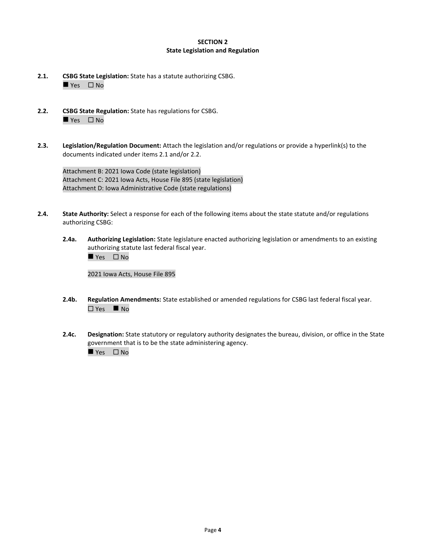## **SECTION 2 State Legislation and Regulation**

- **2.1. CSBG State Legislation:** State has a statute authorizing CSBG.  $\rule{1em}{0.15mm}$  Yes  $\Box$  No
- **2.2. CSBG State Regulation:** State has regulations for CSBG. ■ Yes □ No
- **2.3. Legislation/Regulation Document:** Attach the legislation and/or regulations or provide a hyperlink(s) to the documents indicated under items 2.1 and/or 2.2.

Attachment B: 2021 Iowa Code (state legislation) Attachment C: 2021 Iowa Acts, House File 895 (state legislation) Attachment D: Iowa Administrative Code (state regulations)

- **2.4. State Authority:** Select a response for each of the following items about the state statute and/or regulations authorizing CSBG:
	- **2.4a. Authorizing Legislation:** State legislature enacted authorizing legislation or amendments to an existing authorizing statute last federal fiscal year. ■ Yes □ No

2021 Iowa Acts, House File 895

- **2.4b. Regulation Amendments:** State established or amended regulations for CSBG last federal fiscal year. Yes ◼ No
- **2.4c. Designation:** State statutory or regulatory authority designates the bureau, division, or office in the State government that is to be the state administering agency.  $\rule{1em}{0.15mm}$  Yes  $\Box$  No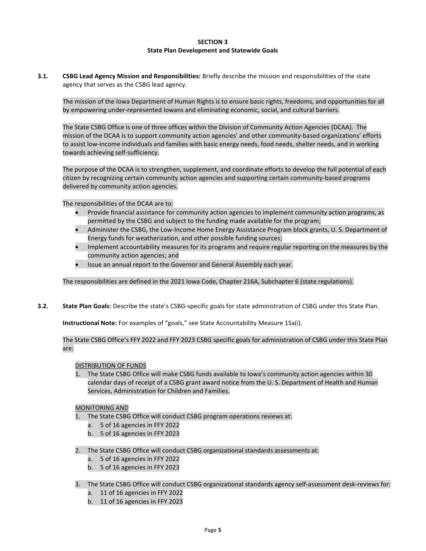#### **SECTION 3 State Plan Development and Statewide Goals**

**3.1. CSBG Lead Agency Mission and Responsibilities:** Briefly describe the mission and responsibilities of the state agency that serves as the CSBG lead agency.

The mission of the Iowa Department of Human Rights is to ensure basic rights, freedoms, and opportunities for all by empowering under-represented Iowans and eliminating economic, social, and cultural barriers.

The State CSBG Office is one of three offices within the Division of Community Action Agencies (DCAA). The mission of the DCAA is to support community action agencies' and other community-based organizations' efforts to assist low-income individuals and families with basic energy needs, food needs, shelter needs, and in working towards achieving self-sufficiency.

The purpose of the DCAA is to strengthen, supplement, and coordinate efforts to develop the full potential of each citizen by recognizing certain community action agencies and supporting certain community-based programs delivered by community action agencies.

The responsibilities of the DCAA are to:

- Provide financial assistance for community action agencies to implement community action programs, as permitted by the CSBG and subject to the funding made available for the program;
- Administer the CSBG, the Low-Income Home Energy Assistance Program block grants, U. S. Department of Energy funds for weatherization, and other possible funding sources;
- Implement accountability measures for its programs and require regular reporting on the measures by the community action agencies; and
- Issue an annual report to the Governor and General Assembly each year.

The responsibilities are defined in the 2021 Iowa Code, Chapter 216A, Subchapter 6 (state regulations).

**3.2. State Plan Goals:** Describe the state's CSBG-specific goals for state administration of CSBG under this State Plan.

**Instructional Note:** For examples of "goals," see State Accountability Measure 1Sa(i).

The State CSBG Office's FFY 2022 and FFY 2023 CSBG specific goals for administration of CSBG under this State Plan are:

#### DISTRIBUTION OF FUNDS

1. The State CSBG Office will make CSBG funds available to Iowa's community action agencies within 30 calendar days of receipt of a CSBG grant award notice from the U. S. Department of Health and Human Services, Administration for Children and Families.

#### MONITORING AND

- The State CSBG Office will conduct CSBG program operations reviews at:
	- a. 5 of 16 agencies in FFY 2022
	- b. 5 of 16 agencies in FFY 2023
- 2. The State CSBG Office will conduct CSBG organizational standards assessments at:
	- a. 5 of 16 agencies in FFY 2022
	- b. 5 of 16 agencies in FFY 2023
- 3. The State CSBG Office will conduct CSBG organizational standards agency self-assessment desk-reviews for:
	- a. 11 of 16 agencies in FFY 2022
	- b. 11 of 16 agencies in FFY 2023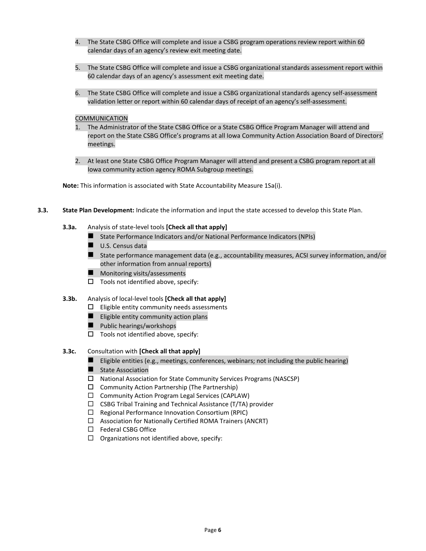- 4. The State CSBG Office will complete and issue a CSBG program operations review report within 60 calendar days of an agency's review exit meeting date.
- 5. The State CSBG Office will complete and issue a CSBG organizational standards assessment report within 60 calendar days of an agency's assessment exit meeting date.
- 6. The State CSBG Office will complete and issue a CSBG organizational standards agency self-assessment validation letter or report within 60 calendar days of receipt of an agency's self-assessment.

#### COMMUNICATION

- 1. The Administrator of the State CSBG Office or a State CSBG Office Program Manager will attend and report on the State CSBG Office's programs at all Iowa Community Action Association Board of Directors' meetings.
- 2. At least one State CSBG Office Program Manager will attend and present a CSBG program report at all Iowa community action agency ROMA Subgroup meetings.

**Note:** This information is associated with State Accountability Measure 1Sa(i).

- **3.3. State Plan Development:** Indicate the information and input the state accessed to develop this State Plan.
	- **3.3a.** Analysis of state-level tools **[Check all that apply]**
		- State Performance Indicators and/or National Performance Indicators (NPIs)
		- U.S. Census data
		- State performance management data (e.g., accountability measures, ACSI survey information, and/or other information from annual reports)
		- Monitoring visits/assessments
		- $\square$  Tools not identified above, specify:
	- **3.3b.** Analysis of local-level tools **[Check all that apply]**
		- $\Box$  Eligible entity community needs assessments
			- Eligible entity community action plans
			- Public hearings/workshops
			- $\square$  Tools not identified above, specify:

## **3.3c.** Consultation with **[Check all that apply]**

- $\blacksquare$  Eligible entities (e.g., meetings, conferences, webinars; not including the public hearing)
- State Association
- National Association for State Community Services Programs (NASCSP)
- $\Box$  Community Action Partnership (The Partnership)
- $\Box$  Community Action Program Legal Services (CAPLAW)
- $\Box$  CSBG Tribal Training and Technical Assistance (T/TA) provider
- $\Box$  Regional Performance Innovation Consortium (RPIC)
- $\Box$  Association for Nationally Certified ROMA Trainers (ANCRT)
- □ Federal CSBG Office
- $\Box$  Organizations not identified above, specify: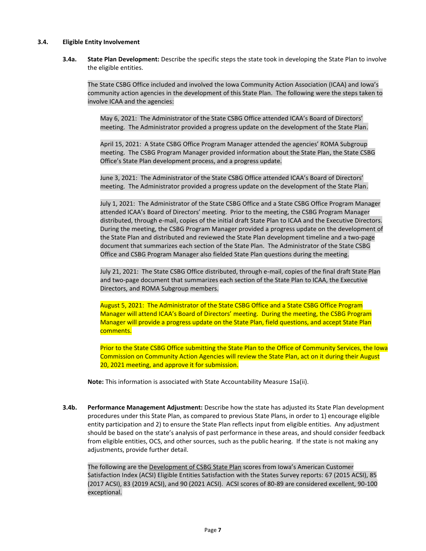## **3.4. Eligible Entity Involvement**

**3.4a. State Plan Development:** Describe the specific steps the state took in developing the State Plan to involve the eligible entities.

The State CSBG Office included and involved the Iowa Community Action Association (ICAA) and Iowa's community action agencies in the development of this State Plan. The following were the steps taken to involve ICAA and the agencies:

May 6, 2021: The Administrator of the State CSBG Office attended ICAA's Board of Directors' meeting. The Administrator provided a progress update on the development of the State Plan.

April 15, 2021: A State CSBG Office Program Manager attended the agencies' ROMA Subgroup meeting. The CSBG Program Manager provided information about the State Plan, the State CSBG Office's State Plan development process, and a progress update.

June 3, 2021: The Administrator of the State CSBG Office attended ICAA's Board of Directors' meeting. The Administrator provided a progress update on the development of the State Plan.

July 1, 2021: The Administrator of the State CSBG Office and a State CSBG Office Program Manager attended ICAA's Board of Directors' meeting. Prior to the meeting, the CSBG Program Manager distributed, through e-mail, copies of the initial draft State Plan to ICAA and the Executive Directors. During the meeting, the CSBG Program Manager provided a progress update on the development of the State Plan and distributed and reviewed the State Plan development timeline and a two-page document that summarizes each section of the State Plan. The Administrator of the State CSBG Office and CSBG Program Manager also fielded State Plan questions during the meeting.

July 21, 2021: The State CSBG Office distributed, through e-mail, copies of the final draft State Plan and two-page document that summarizes each section of the State Plan to ICAA, the Executive Directors, and ROMA Subgroup members.

August 5, 2021: The Administrator of the State CSBG Office and a State CSBG Office Program Manager will attend ICAA's Board of Directors' meeting. During the meeting, the CSBG Program Manager will provide a progress update on the State Plan, field questions, and accept State Plan comments.

Prior to the State CSBG Office submitting the State Plan to the Office of Community Services, the Iowa Commission on Community Action Agencies will review the State Plan, act on it during their August 20, 2021 meeting, and approve it for submission.

**Note:** This information is associated with State Accountability Measure 1Sa(ii).

**3.4b. Performance Management Adjustment:** Describe how the state has adjusted its State Plan development procedures under this State Plan, as compared to previous State Plans, in order to 1) encourage eligible entity participation and 2) to ensure the State Plan reflects input from eligible entities. Any adjustment should be based on the state's analysis of past performance in these areas, and should consider feedback from eligible entities, OCS, and other sources, such as the public hearing. If the state is not making any adjustments, provide further detail.

The following are the Development of CSBG State Plan scores from Iowa's American Customer Satisfaction Index (ACSI) Eligible Entities Satisfaction with the States Survey reports: 67 (2015 ACSI), 85 (2017 ACSI), 83 (2019 ACSI), and 90 (2021 ACSI). ACSI scores of 80-89 are considered excellent, 90-100 exceptional.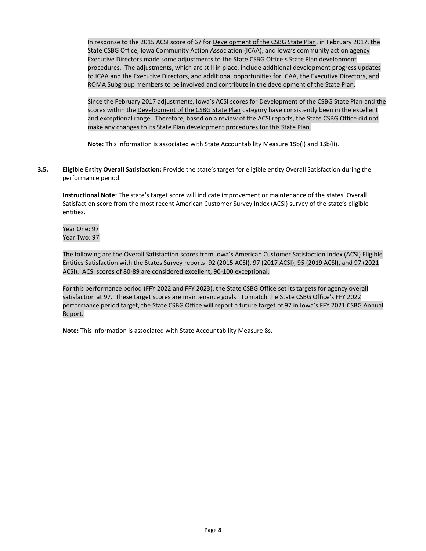In response to the 2015 ACSI score of 67 for Development of the CSBG State Plan, in February 2017, the State CSBG Office, Iowa Community Action Association (ICAA), and Iowa's community action agency Executive Directors made some adjustments to the State CSBG Office's State Plan development procedures. The adjustments, which are still in place, include additional development progress updates to ICAA and the Executive Directors, and additional opportunities for ICAA, the Executive Directors, and ROMA Subgroup members to be involved and contribute in the development of the State Plan.

Since the February 2017 adjustments, Iowa's ACSI scores for Development of the CSBG State Plan and the scores within the Development of the CSBG State Plan category have consistently been in the excellent and exceptional range. Therefore, based on a review of the ACSI reports, the State CSBG Office did not make any changes to its State Plan development procedures for this State Plan.

**Note:** This information is associated with State Accountability Measure 1Sb(i) and 1Sb(ii).

**3.5. Eligible Entity Overall Satisfaction:** Provide the state's target for eligible entity Overall Satisfaction during the performance period.

**Instructional Note:** The state's target score will indicate improvement or maintenance of the states' Overall Satisfaction score from the most recent American Customer Survey Index (ACSI) survey of the state's eligible entities.

Year One: 97 Year Two: 97

The following are the Overall Satisfaction scores from Iowa's American Customer Satisfaction Index (ACSI) Eligible Entities Satisfaction with the States Survey reports: 92 (2015 ACSI), 97 (2017 ACSI), 95 (2019 ACSI), and 97 (2021 ACSI). ACSI scores of 80-89 are considered excellent, 90-100 exceptional.

For this performance period (FFY 2022 and FFY 2023), the State CSBG Office set its targets for agency overall satisfaction at 97. These target scores are maintenance goals. To match the State CSBG Office's FFY 2022 performance period target, the State CSBG Office will report a future target of 97 in Iowa's FFY 2021 CSBG Annual Report.

**Note:** This information is associated with State Accountability Measure 8s.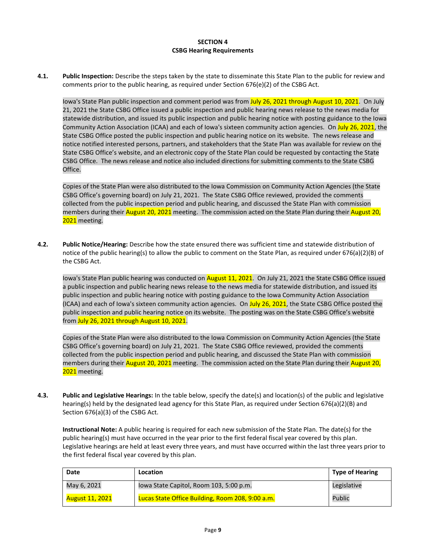#### **SECTION 4 CSBG Hearing Requirements**

**4.1. Public Inspection:** Describe the steps taken by the state to disseminate this State Plan to the public for review and comments prior to the public hearing, as required under Section 676(e)(2) of the CSBG Act.

Iowa's State Plan public inspection and comment period was from July 26, 2021 through August 10, 2021. On July 21, 2021 the State CSBG Office issued a public inspection and public hearing news release to the news media for statewide distribution, and issued its public inspection and public hearing notice with posting guidance to the Iowa Community Action Association (ICAA) and each of Iowa's sixteen community action agencies. On July 26, 2021, the State CSBG Office posted the public inspection and public hearing notice on its website. The news release and notice notified interested persons, partners, and stakeholders that the State Plan was available for review on the State CSBG Office's website, and an electronic copy of the State Plan could be requested by contacting the State CSBG Office. The news release and notice also included directions for submitting comments to the State CSBG Office.

Copies of the State Plan were also distributed to the Iowa Commission on Community Action Agencies (the State CSBG Office's governing board) on July 21, 2021. The State CSBG Office reviewed, provided the comments collected from the public inspection period and public hearing, and discussed the State Plan with commission members during their August 20, 2021 meeting. The commission acted on the State Plan during their August 20, 2021 meeting.

**4.2. Public Notice/Hearing:** Describe how the state ensured there was sufficient time and statewide distribution of notice of the public hearing(s) to allow the public to comment on the State Plan, as required under 676(a)(2)(B) of the CSBG Act.

Iowa's State Plan public hearing was conducted on August 11, 2021. On July 21, 2021 the State CSBG Office issued a public inspection and public hearing news release to the news media for statewide distribution, and issued its public inspection and public hearing notice with posting guidance to the Iowa Community Action Association (ICAA) and each of Iowa's sixteen community action agencies. On July 26, 2021, the State CSBG Office posted the public inspection and public hearing notice on its website. The posting was on the State CSBG Office's website from July 26, 2021 through August 10, 2021.

Copies of the State Plan were also distributed to the Iowa Commission on Community Action Agencies (the State CSBG Office's governing board) on July 21, 2021. The State CSBG Office reviewed, provided the comments collected from the public inspection period and public hearing, and discussed the State Plan with commission members during their August 20, 2021 meeting. The commission acted on the State Plan during their August 20, 2021 meeting.

**4.3. Public and Legislative Hearings:** In the table below, specify the date(s) and location(s) of the public and legislative hearing(s) held by the designated lead agency for this State Plan, as required under Section 676(a)(2)(B) and Section 676(a)(3) of the CSBG Act.

**Instructional Note:** A public hearing is required for each new submission of the State Plan. The date(s) for the public hearing(s) must have occurred in the year prior to the first federal fiscal year covered by this plan. Legislative hearings are held at least every three years, and must have occurred within the last three years prior to the first federal fiscal year covered by this plan.

| <b>Date</b>            | Location                                         | <b>Type of Hearing</b> |
|------------------------|--------------------------------------------------|------------------------|
| May 6, 2021            | lowa State Capitol, Room 103, 5:00 p.m.          | Legislative            |
| <b>August 11, 2021</b> | Lucas State Office Building, Room 208, 9:00 a.m. | Public                 |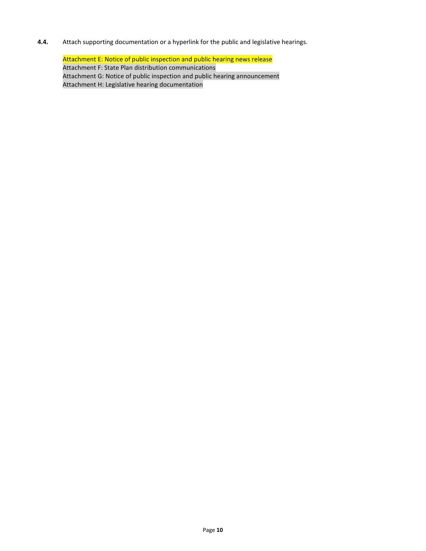**4.4.** Attach supporting documentation or a hyperlink for the public and legislative hearings.

Attachment E: Notice of public inspection and public hearing news release Attachment F: State Plan distribution communications Attachment G: Notice of public inspection and public hearing announcement Attachment H: Legislative hearing documentation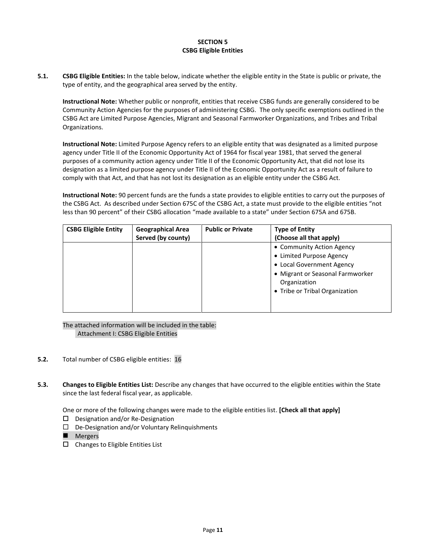## **SECTION 5 CSBG Eligible Entities**

**5.1. CSBG Eligible Entities:** In the table below, indicate whether the eligible entity in the State is public or private, the type of entity, and the geographical area served by the entity.

**Instructional Note:** Whether public or nonprofit, entities that receive CSBG funds are generally considered to be Community Action Agencies for the purposes of administering CSBG. The only specific exemptions outlined in the CSBG Act are Limited Purpose Agencies, Migrant and Seasonal Farmworker Organizations, and Tribes and Tribal Organizations.

**Instructional Note:** Limited Purpose Agency refers to an eligible entity that was designated as a limited purpose agency under Title II of the Economic Opportunity Act of 1964 for fiscal year 1981, that served the general purposes of a community action agency under Title II of the Economic Opportunity Act, that did not lose its designation as a limited purpose agency under Title II of the Economic Opportunity Act as a result of failure to comply with that Act, and that has not lost its designation as an eligible entity under the CSBG Act.

**Instructional Note:** 90 percent funds are the funds a state provides to eligible entities to carry out the purposes of the CSBG Act. As described under Section 675C of the CSBG Act, a state must provide to the eligible entities "not less than 90 percent" of their CSBG allocation "made available to a state" under Section 675A and 675B.

| <b>CSBG Eligible Entity</b> | <b>Geographical Area</b><br>Served (by county) | <b>Public or Private</b> | <b>Type of Entity</b><br>(Choose all that apply)                                                                                                                         |
|-----------------------------|------------------------------------------------|--------------------------|--------------------------------------------------------------------------------------------------------------------------------------------------------------------------|
|                             |                                                |                          | • Community Action Agency<br>• Limited Purpose Agency<br>• Local Government Agency<br>• Migrant or Seasonal Farmworker<br>Organization<br>• Tribe or Tribal Organization |
|                             |                                                |                          |                                                                                                                                                                          |

The attached information will be included in the table: Attachment I: CSBG Eligible Entities

- **5.2.** Total number of CSBG eligible entities: 16
- **5.3. Changes to Eligible Entities List:** Describe any changes that have occurred to the eligible entities within the State since the last federal fiscal year, as applicable.

One or more of the following changes were made to the eligible entities list. **[Check all that apply]**

- $\square$  Designation and/or Re-Designation
- $\Box$  De-Designation and/or Voluntary Relinquishments
- Mergers
- $\square$  Changes to Eligible Entities List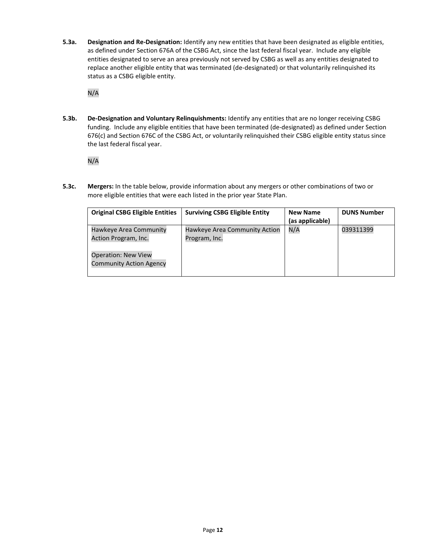**5.3a. Designation and Re-Designation:** Identify any new entities that have been designated as eligible entities, as defined under Section 676A of the CSBG Act, since the last federal fiscal year. Include any eligible entities designated to serve an area previously not served by CSBG as well as any entities designated to replace another eligible entity that was terminated (de-designated) or that voluntarily relinquished its status as a CSBG eligible entity.

N/A

**5.3b. De-Designation and Voluntary Relinquishments:** Identify any entities that are no longer receiving CSBG funding. Include any eligible entities that have been terminated (de-designated) as defined under Section 676(c) and Section 676C of the CSBG Act, or voluntarily relinquished their CSBG eligible entity status since the last federal fiscal year.

N/A

**5.3c. Mergers:** In the table below, provide information about any mergers or other combinations of two or more eligible entities that were each listed in the prior year State Plan.

| <b>Original CSBG Eligible Entities</b>                       | <b>Surviving CSBG Eligible Entity</b>          | <b>New Name</b><br>(as applicable) | <b>DUNS Number</b> |
|--------------------------------------------------------------|------------------------------------------------|------------------------------------|--------------------|
| Hawkeye Area Community<br>Action Program, Inc.               | Hawkeye Area Community Action<br>Program, Inc. | N/A                                | 039311399          |
| <b>Operation: New View</b><br><b>Community Action Agency</b> |                                                |                                    |                    |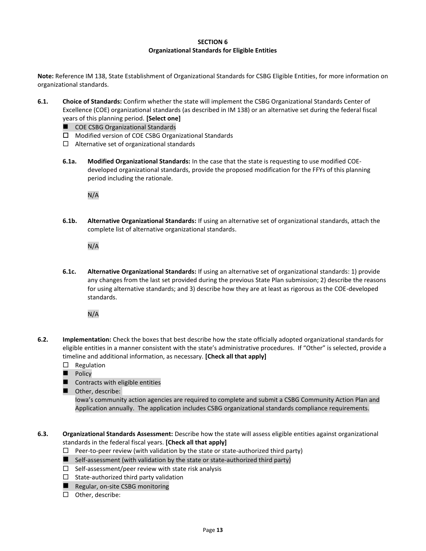#### **SECTION 6 Organizational Standards for Eligible Entities**

**Note:** Reference IM 138, State Establishment of Organizational Standards for CSBG Eligible Entities, for more information on organizational standards.

- **6.1. Choice of Standards:** Confirm whether the state will implement the CSBG Organizational Standards Center of Excellence (COE) organizational standards (as described in IM 138) or an alternative set during the federal fiscal years of this planning period. **[Select one]**
	- COE CSBG Organizational Standards
	- □ Modified version of COE CSBG Organizational Standards
	- $\Box$  Alternative set of organizational standards
	- **6.1a. Modified Organizational Standards:** In the case that the state is requesting to use modified COEdeveloped organizational standards, provide the proposed modification for the FFYs of this planning period including the rationale.

N/A

**6.1b. Alternative Organizational Standards:** If using an alternative set of organizational standards, attach the complete list of alternative organizational standards.

N/A

**6.1c. Alternative Organizational Standards:** If using an alternative set of organizational standards: 1) provide any changes from the last set provided during the previous State Plan submission; 2) describe the reasons for using alternative standards; and 3) describe how they are at least as rigorous as the COE-developed standards.

N/A

- **6.2. Implementation:** Check the boxes that best describe how the state officially adopted organizational standards for eligible entities in a manner consistent with the state's administrative procedures. If "Other" is selected, provide a timeline and additional information, as necessary. **[Check all that apply]**
	- $\Box$  Regulation
	- Policy
	- Contracts with eligible entities
	- Other, describe:

Iowa's community action agencies are required to complete and submit a CSBG Community Action Plan and Application annually. The application includes CSBG organizational standards compliance requirements.

**6.3. Organizational Standards Assessment:** Describe how the state will assess eligible entities against organizational standards in the federal fiscal years. **[Check all that apply]**

- $\Box$  Peer-to-peer review (with validation by the state or state-authorized third party)
- $\blacksquare$  Self-assessment (with validation by the state or state-authorized third party)
- $\Box$  Self-assessment/peer review with state risk analysis
- $\Box$  State-authorized third party validation
- Regular, on-site CSBG monitoring
- $\square$  Other, describe: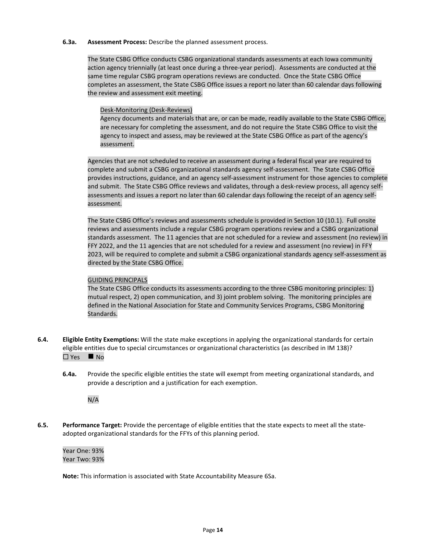#### **6.3a. Assessment Process:** Describe the planned assessment process.

The State CSBG Office conducts CSBG organizational standards assessments at each Iowa community action agency triennially (at least once during a three-year period). Assessments are conducted at the same time regular CSBG program operations reviews are conducted. Once the State CSBG Office completes an assessment, the State CSBG Office issues a report no later than 60 calendar days following the review and assessment exit meeting.

## Desk-Monitoring (Desk-Reviews)

Agency documents and materials that are, or can be made, readily available to the State CSBG Office, are necessary for completing the assessment, and do not require the State CSBG Office to visit the agency to inspect and assess, may be reviewed at the State CSBG Office as part of the agency's assessment.

Agencies that are not scheduled to receive an assessment during a federal fiscal year are required to complete and submit a CSBG organizational standards agency self-assessment. The State CSBG Office provides instructions, guidance, and an agency self-assessment instrument for those agencies to complete and submit. The State CSBG Office reviews and validates, through a desk-review process, all agency selfassessments and issues a report no later than 60 calendar days following the receipt of an agency selfassessment.

The State CSBG Office's reviews and assessments schedule is provided in Section 10 (10.1). Full onsite reviews and assessments include a regular CSBG program operations review and a CSBG organizational standards assessment. The 11 agencies that are not scheduled for a review and assessment (no review) in FFY 2022, and the 11 agencies that are not scheduled for a review and assessment (no review) in FFY 2023, will be required to complete and submit a CSBG organizational standards agency self-assessment as directed by the State CSBG Office.

## GUIDING PRINCIPALS

The State CSBG Office conducts its assessments according to the three CSBG monitoring principles: 1) mutual respect, 2) open communication, and 3) joint problem solving. The monitoring principles are defined in the National Association for State and Community Services Programs, CSBG Monitoring Standards.

- **6.4. Eligible Entity Exemptions:** Will the state make exceptions in applying the organizational standards for certain eligible entities due to special circumstances or organizational characteristics (as described in IM 138)?  $\Box$  Yes  $\blacksquare$  No
	- **6.4a.** Provide the specific eligible entities the state will exempt from meeting organizational standards, and provide a description and a justification for each exemption.

N/A

**6.5. Performance Target:** Provide the percentage of eligible entities that the state expects to meet all the stateadopted organizational standards for the FFYs of this planning period.

Year One: 93% Year Two: 93%

**Note:** This information is associated with State Accountability Measure 6Sa.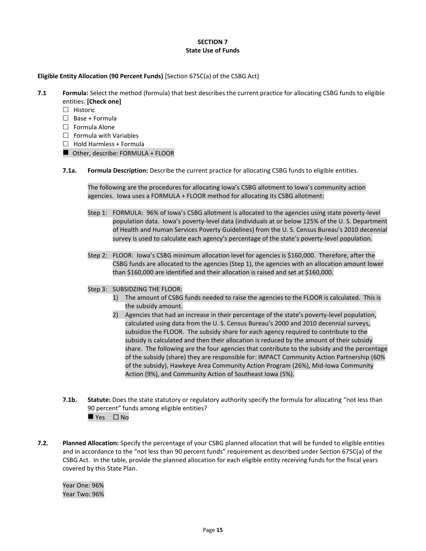## **SECTION 7 State Use of Funds**

## **Eligible Entity Allocation (90 Percent Funds)** [Section 675C(a) of the CSBG Act]

**7.1 Formula:** Select the method (formula) that best describes the current practice for allocating CSBG funds to eligible entities. **[Check one]**

- $\Box$  Historic
- $\Box$  Base + Formula
- $\Box$  Formula Alone
- $\Box$  Formula with Variables
- $\Box$  Hold Harmless + Formula
- Other, describe: FORMULA + FLOOR
- **7.1a. Formula Description:** Describe the current practice for allocating CSBG funds to eligible entities.

The following are the procedures for allocating Iowa's CSBG allotment to Iowa's community action agencies. Iowa uses a FORMULA + FLOOR method for allocating its CSBG allotment:

- Step 1: FORMULA: 96% of Iowa's CSBG allotment is allocated to the agencies using state poverty-level population data. Iowa's poverty-level data (individuals at or below 125% of the U. S. Department of Health and Human Services Poverty Guidelines) from the U. S. Census Bureau's 2010 decennial survey is used to calculate each agency's percentage of the state's poverty-level population.
- Step 2: FLOOR: Iowa's CSBG minimum allocation level for agencies is \$160,000. Therefore, after the CSBG funds are allocated to the agencies (Step 1), the agencies with an allocation amount lower than \$160,000 are identified and their allocation is raised and set at \$160,000.

## Step 3: SUBSIDZING THE FLOOR:

- 1) The amount of CSBG funds needed to raise the agencies to the FLOOR is calculated. This is the subsidy amount.
- 2) Agencies that had an increase in their percentage of the state's poverty-level population, calculated using data from the U. S. Census Bureau's 2000 and 2010 decennial surveys, subsidize the FLOOR. The subsidy share for each agency required to contribute to the subsidy is calculated and then their allocation is reduced by the amount of their subsidy share. The following are the four agencies that contribute to the subsidy and the percentage of the subsidy (share) they are responsible for: IMPACT Community Action Partnership (60% of the subsidy), Hawkeye Area Community Action Program (26%), Mid-Iowa Community Action (9%), and Community Action of Southeast Iowa (5%).
- **7.1b.** Statute: Does the state statutory or regulatory authority specify the formula for allocating "not less than 90 percent" funds among eligible entities?  $\rule{1em}{0.15mm}$  Yes  $\Box$  No
- **7.2. Planned Allocation:** Specify the percentage of your CSBG planned allocation that will be funded to eligible entities and in accordance to the "not less than 90 percent funds" requirement as described under Section 675C(a) of the CSBG Act. In the table, provide the planned allocation for each eligible entity receiving funds for the fiscal years covered by this State Plan.

Year One: 96% Year Two: 96%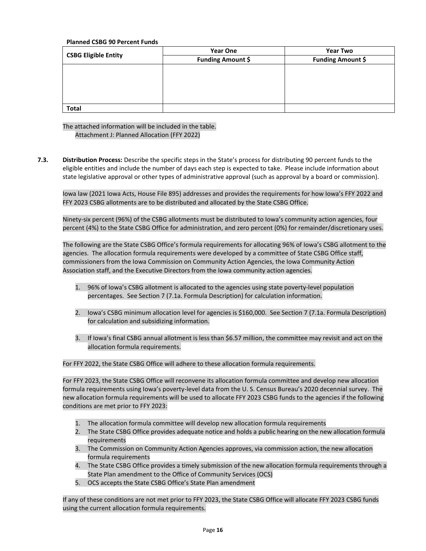## **Planned CSBG 90 Percent Funds**

|                             | <b>Year One</b>          | <b>Year Two</b>          |  |  |
|-----------------------------|--------------------------|--------------------------|--|--|
| <b>CSBG Eligible Entity</b> | <b>Funding Amount \$</b> | <b>Funding Amount \$</b> |  |  |
|                             |                          |                          |  |  |
|                             |                          |                          |  |  |
|                             |                          |                          |  |  |
|                             |                          |                          |  |  |
|                             |                          |                          |  |  |
| <b>Total</b>                |                          |                          |  |  |

The attached information will be included in the table. Attachment J: Planned Allocation (FFY 2022)

**7.3. Distribution Process:** Describe the specific steps in the State's process for distributing 90 percent funds to the eligible entities and include the number of days each step is expected to take. Please include information about state legislative approval or other types of administrative approval (such as approval by a board or commission).

Iowa law (2021 Iowa Acts, House File 895) addresses and provides the requirements for how Iowa's FFY 2022 and FFY 2023 CSBG allotments are to be distributed and allocated by the State CSBG Office.

Ninety-six percent (96%) of the CSBG allotments must be distributed to Iowa's community action agencies, four percent (4%) to the State CSBG Office for administration, and zero percent (0%) for remainder/discretionary uses.

The following are the State CSBG Office's formula requirements for allocating 96% of Iowa's CSBG allotment to the agencies. The allocation formula requirements were developed by a committee of State CSBG Office staff, commissioners from the Iowa Commission on Community Action Agencies, the Iowa Community Action Association staff, and the Executive Directors from the Iowa community action agencies.

- 1. 96% of Iowa's CSBG allotment is allocated to the agencies using state poverty-level population percentages. See Section 7 (7.1a. Formula Description) for calculation information.
- 2. Iowa's CSBG minimum allocation level for agencies is \$160,000. See Section 7 (7.1a. Formula Description) for calculation and subsidizing information.
- 3. If Iowa's final CSBG annual allotment is less than \$6.57 million, the committee may revisit and act on the allocation formula requirements.

For FFY 2022, the State CSBG Office will adhere to these allocation formula requirements.

For FFY 2023, the State CSBG Office will reconvene its allocation formula committee and develop new allocation formula requirements using Iowa's poverty-level data from the U. S. Census Bureau's 2020 decennial survey. The new allocation formula requirements will be used to allocate FFY 2023 CSBG funds to the agencies if the following conditions are met prior to FFY 2023:

- 1. The allocation formula committee will develop new allocation formula requirements
- 2. The State CSBG Office provides adequate notice and holds a public hearing on the new allocation formula requirements
- 3. The Commission on Community Action Agencies approves, via commission action, the new allocation formula requirements
- 4. The State CSBG Office provides a timely submission of the new allocation formula requirements through a State Plan amendment to the Office of Community Services (OCS)
- 5. OCS accepts the State CSBG Office's State Plan amendment

If any of these conditions are not met prior to FFY 2023, the State CSBG Office will allocate FFY 2023 CSBG funds using the current allocation formula requirements.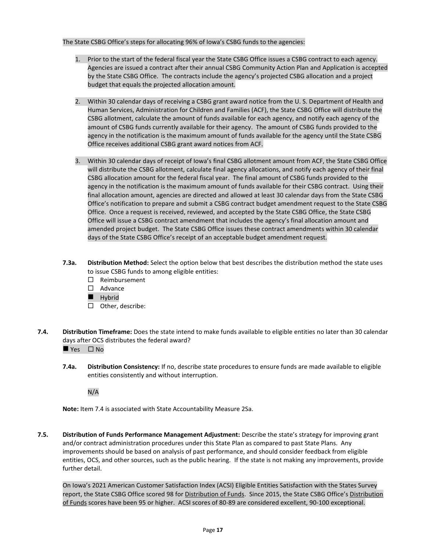## The State CSBG Office's steps for allocating 96% of Iowa's CSBG funds to the agencies:

- 1. Prior to the start of the federal fiscal year the State CSBG Office issues a CSBG contract to each agency. Agencies are issued a contract after their annual CSBG Community Action Plan and Application is accepted by the State CSBG Office. The contracts include the agency's projected CSBG allocation and a project budget that equals the projected allocation amount.
- 2. Within 30 calendar days of receiving a CSBG grant award notice from the U. S. Department of Health and Human Services, Administration for Children and Families (ACF), the State CSBG Office will distribute the CSBG allotment, calculate the amount of funds available for each agency, and notify each agency of the amount of CSBG funds currently available for their agency. The amount of CSBG funds provided to the agency in the notification is the maximum amount of funds available for the agency until the State CSBG Office receives additional CSBG grant award notices from ACF.
- 3. Within 30 calendar days of receipt of Iowa's final CSBG allotment amount from ACF, the State CSBG Office will distribute the CSBG allotment, calculate final agency allocations, and notify each agency of their final CSBG allocation amount for the federal fiscal year. The final amount of CSBG funds provided to the agency in the notification is the maximum amount of funds available for their CSBG contract. Using their final allocation amount, agencies are directed and allowed at least 30 calendar days from the State CSBG Office's notification to prepare and submit a CSBG contract budget amendment request to the State CSBG Office. Once a request is received, reviewed, and accepted by the State CSBG Office, the State CSBG Office will issue a CSBG contract amendment that includes the agency's final allocation amount and amended project budget. The State CSBG Office issues these contract amendments within 30 calendar days of the State CSBG Office's receipt of an acceptable budget amendment request.
- **7.3a. Distribution Method:** Select the option below that best describes the distribution method the state uses to issue CSBG funds to among eligible entities:
	- Reimbursement
	- □ Advance
	- Hybrid
	- $\Box$  Other, describe:
- **7.4. Distribution Timeframe:** Does the state intend to make funds available to eligible entities no later than 30 calendar days after OCS distributes the federal award?

 $\blacksquare$  Yes  $\Box$  No

**7.4a. Distribution Consistency:** If no, describe state procedures to ensure funds are made available to eligible entities consistently and without interruption.

N/A

**Note:** Item 7.4 is associated with State Accountability Measure 2Sa.

**7.5. Distribution of Funds Performance Management Adjustment:** Describe the state's strategy for improving grant and/or contract administration procedures under this State Plan as compared to past State Plans. Any improvements should be based on analysis of past performance, and should consider feedback from eligible entities, OCS, and other sources, such as the public hearing. If the state is not making any improvements, provide further detail.

On Iowa's 2021 American Customer Satisfaction Index (ACSI) Eligible Entities Satisfaction with the States Survey report, the State CSBG Office scored 98 for Distribution of Funds. Since 2015, the State CSBG Office's Distribution of Funds scores have been 95 or higher. ACSI scores of 80-89 are considered excellent, 90-100 exceptional.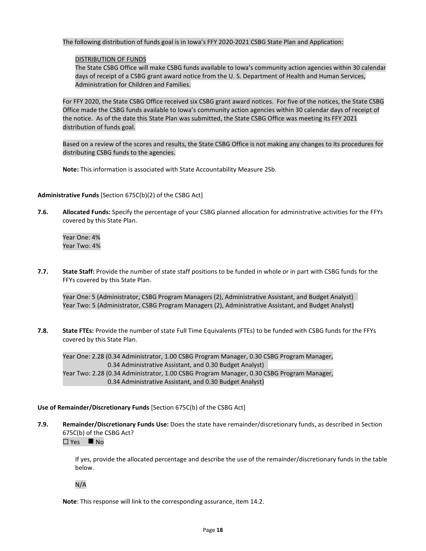The following distribution of funds goal is in Iowa's FFY 2020-2021 CSBG State Plan and Application:

## DISTRIBUTION OF FUNDS

The State CSBG Office will make CSBG funds available to Iowa's community action agencies within 30 calendar days of receipt of a CSBG grant award notice from the U. S. Department of Health and Human Services, Administration for Children and Families.

For FFY 2020, the State CSBG Office received six CSBG grant award notices. For five of the notices, the State CSBG Office made the CSBG funds available to Iowa's community action agencies within 30 calendar days of receipt of the notice. As of the date this State Plan was submitted, the State CSBG Office was meeting its FFY 2021 distribution of funds goal.

Based on a review of the scores and results, the State CSBG Office is not making any changes to its procedures for distributing CSBG funds to the agencies.

**Note:** This information is associated with State Accountability Measure 2Sb.

## **Administrative Funds** [Section 675C(b)(2) of the CSBG Act]

**7.6. Allocated Funds:** Specify the percentage of your CSBG planned allocation for administrative activities for the FFYs covered by this State Plan.

Year One: 4% Year Two: 4%

**7.7. State Staff:** Provide the number of state staff positions to be funded in whole or in part with CSBG funds for the FFYs covered by this State Plan.

Year One: 5 (Administrator, CSBG Program Managers (2), Administrative Assistant, and Budget Analyst) Year Two: 5 (Administrator, CSBG Program Managers (2), Administrative Assistant, and Budget Analyst)

**7.8. State FTEs:** Provide the number of state Full Time Equivalents (FTEs) to be funded with CSBG funds for the FFYs covered by this State Plan.

Year One: 2.28 (0.34 Administrator, 1.00 CSBG Program Manager, 0.30 CSBG Program Manager, 0.34 Administrative Assistant, and 0.30 Budget Analyst) Year Two: 2.28 (0.34 Administrator, 1.00 CSBG Program Manager, 0.30 CSBG Program Manager, 0.34 Administrative Assistant, and 0.30 Budget Analyst)

## **Use of Remainder/Discretionary Funds** [Section 675C(b) of the CSBG Act]

**7.9. Remainder/Discretionary Funds Use:** Does the state have remainder/discretionary funds, as described in Section 675C(b) of the CSBG Act?

 $\Box$  Yes  $\blacksquare$  No

If yes, provide the allocated percentage and describe the use of the remainder/discretionary funds in the table below.

N/A

**Note**: This response will link to the corresponding assurance, item 14.2.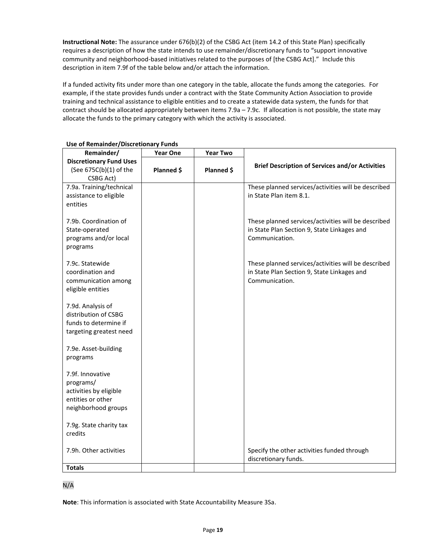**Instructional Note:** The assurance under 676(b)(2) of the CSBG Act (item 14.2 of this State Plan) specifically requires a description of how the state intends to use remainder/discretionary funds to "support innovative community and neighborhood-based initiatives related to the purposes of [the CSBG Act]." Include this description in item 7.9f of the table below and/or attach the information.

If a funded activity fits under more than one category in the table, allocate the funds among the categories. For example, if the state provides funds under a contract with the State Community Action Association to provide training and technical assistance to eligible entities and to create a statewide data system, the funds for that contract should be allocated appropriately between items 7.9a – 7.9c. If allocation is not possible, the state may allocate the funds to the primary category with which the activity is associated.

| Remainder/                     | <b>Year One</b> | <b>Year Two</b> |                                                        |
|--------------------------------|-----------------|-----------------|--------------------------------------------------------|
| <b>Discretionary Fund Uses</b> |                 |                 |                                                        |
| (See 675C(b)(1) of the         | Planned \$      | Planned \$      | <b>Brief Description of Services and/or Activities</b> |
| CSBG Act)                      |                 |                 |                                                        |
| 7.9a. Training/technical       |                 |                 | These planned services/activities will be described    |
| assistance to eligible         |                 |                 | in State Plan item 8.1.                                |
| entities                       |                 |                 |                                                        |
|                                |                 |                 |                                                        |
| 7.9b. Coordination of          |                 |                 | These planned services/activities will be described    |
| State-operated                 |                 |                 | in State Plan Section 9, State Linkages and            |
| programs and/or local          |                 |                 | Communication.                                         |
| programs                       |                 |                 |                                                        |
|                                |                 |                 |                                                        |
| 7.9c. Statewide                |                 |                 | These planned services/activities will be described    |
| coordination and               |                 |                 | in State Plan Section 9, State Linkages and            |
| communication among            |                 |                 | Communication.                                         |
| eligible entities              |                 |                 |                                                        |
|                                |                 |                 |                                                        |
| 7.9d. Analysis of              |                 |                 |                                                        |
| distribution of CSBG           |                 |                 |                                                        |
| funds to determine if          |                 |                 |                                                        |
| targeting greatest need        |                 |                 |                                                        |
|                                |                 |                 |                                                        |
| 7.9e. Asset-building           |                 |                 |                                                        |
| programs                       |                 |                 |                                                        |
|                                |                 |                 |                                                        |
| 7.9f. Innovative               |                 |                 |                                                        |
| programs/                      |                 |                 |                                                        |
| activities by eligible         |                 |                 |                                                        |
| entities or other              |                 |                 |                                                        |
| neighborhood groups            |                 |                 |                                                        |
|                                |                 |                 |                                                        |
| 7.9g. State charity tax        |                 |                 |                                                        |
| credits                        |                 |                 |                                                        |
| 7.9h. Other activities         |                 |                 | Specify the other activities funded through            |
|                                |                 |                 | discretionary funds.                                   |
| <b>Totals</b>                  |                 |                 |                                                        |

## **Use of Remainder/Discretionary Funds**

N/A

**Note**: This information is associated with State Accountability Measure 3Sa.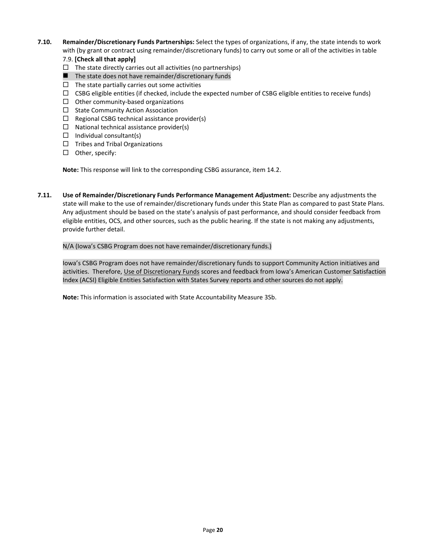- **7.10. Remainder/Discretionary Funds Partnerships:** Select the types of organizations, if any, the state intends to work with (by grant or contract using remainder/discretionary funds) to carry out some or all of the activities in table
	- 7.9. **[Check all that apply]**
	- $\Box$  The state directly carries out all activities (no partnerships)
	- The state does not have remainder/discretionary funds
	- $\Box$  The state partially carries out some activities
	- $\Box$  CSBG eligible entities (if checked, include the expected number of CSBG eligible entities to receive funds)
	- $\Box$  Other community-based organizations
	- $\Box$  State Community Action Association
	- $\Box$  Regional CSBG technical assistance provider(s)
	- $\Box$  National technical assistance provider(s)
	- $\Box$  Individual consultant(s)
	- $\Box$  Tribes and Tribal Organizations
	- $\square$  Other, specify:

**Note:** This response will link to the corresponding CSBG assurance, item 14.2.

**7.11. Use of Remainder/Discretionary Funds Performance Management Adjustment:** Describe any adjustments the state will make to the use of remainder/discretionary funds under this State Plan as compared to past State Plans. Any adjustment should be based on the state's analysis of past performance, and should consider feedback from eligible entities, OCS, and other sources, such as the public hearing. If the state is not making any adjustments, provide further detail.

## N/A (Iowa's CSBG Program does not have remainder/discretionary funds.)

Iowa's CSBG Program does not have remainder/discretionary funds to support Community Action initiatives and activities. Therefore, Use of Discretionary Funds scores and feedback from Iowa's American Customer Satisfaction Index (ACSI) Eligible Entities Satisfaction with States Survey reports and other sources do not apply.

**Note:** This information is associated with State Accountability Measure 3Sb.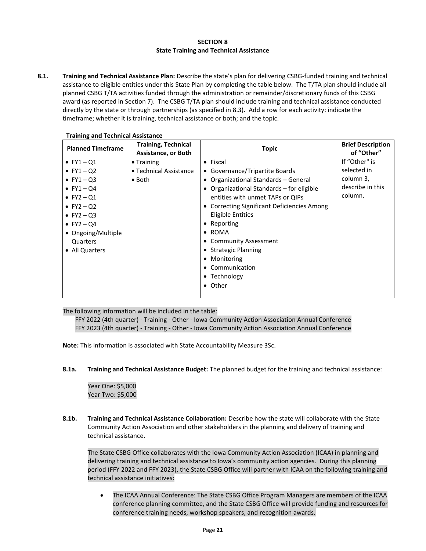## **SECTION 8 State Training and Technical Assistance**

**8.1. Training and Technical Assistance Plan:** Describe the state's plan for delivering CSBG-funded training and technical assistance to eligible entities under this State Plan by completing the table below. The T/TA plan should include all planned CSBG T/TA activities funded through the administration or remainder/discretionary funds of this CSBG award (as reported in Section 7). The CSBG T/TA plan should include training and technical assistance conducted directly by the state or through partnerships (as specified in 8.3). Add a row for each activity: indicate the timeframe; whether it is training, technical assistance or both; and the topic.

| <b>Planned Timeframe</b>                                                                                                                                                                           | <b>Training, Technical</b><br><b>Assistance, or Both</b>       | <b>Brief Description</b><br>of "Other"                                                                                                                                                                                                                                                                                                                                                           |                                                                          |
|----------------------------------------------------------------------------------------------------------------------------------------------------------------------------------------------------|----------------------------------------------------------------|--------------------------------------------------------------------------------------------------------------------------------------------------------------------------------------------------------------------------------------------------------------------------------------------------------------------------------------------------------------------------------------------------|--------------------------------------------------------------------------|
| $\bullet$ FY1 - Q1<br>• $FY1 - Q2$<br>$\bullet$ FY1 - Q3<br>• $FY1 - Q4$<br>• $FY2 - Q1$<br>• $FY2 - Q2$<br>$\bullet$ FY2 - Q3<br>• $FY2 - Q4$<br>• Ongoing/Multiple<br>Quarters<br>• All Quarters | $\bullet$ Training<br>• Technical Assistance<br>$\bullet$ Both | $\bullet$ Fiscal<br>• Governance/Tripartite Boards<br>• Organizational Standards - General<br>• Organizational Standards – for eligible<br>entities with unmet TAPs or QIPs<br>• Correcting Significant Deficiencies Among<br>Eligible Entities<br>• Reporting<br>$\bullet$ ROMA<br>• Community Assessment<br>• Strategic Planning<br>• Monitoring<br>• Communication<br>• Technology<br>• Other | If "Other" is<br>selected in<br>column 3,<br>describe in this<br>column. |

#### **Training and Technical Assistance**

The following information will be included in the table:

FFY 2022 (4th quarter) - Training - Other - Iowa Community Action Association Annual Conference FFY 2023 (4th quarter) - Training - Other - Iowa Community Action Association Annual Conference

**Note:** This information is associated with State Accountability Measure 3Sc.

**8.1a. Training and Technical Assistance Budget:** The planned budget for the training and technical assistance:

Year One: \$5,000 Year Two: \$5,000

**8.1b. Training and Technical Assistance Collaboration:** Describe how the state will collaborate with the State Community Action Association and other stakeholders in the planning and delivery of training and technical assistance.

The State CSBG Office collaborates with the Iowa Community Action Association (ICAA) in planning and delivering training and technical assistance to Iowa's community action agencies. During this planning period (FFY 2022 and FFY 2023), the State CSBG Office will partner with ICAA on the following training and technical assistance initiatives:

• The ICAA Annual Conference: The State CSBG Office Program Managers are members of the ICAA conference planning committee, and the State CSBG Office will provide funding and resources for conference training needs, workshop speakers, and recognition awards.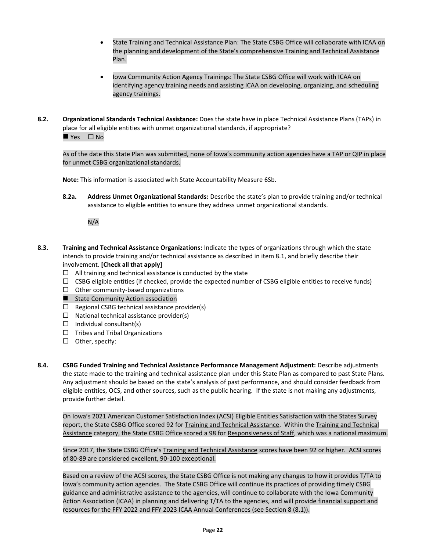- State Training and Technical Assistance Plan: The State CSBG Office will collaborate with ICAA on the planning and development of the State's comprehensive Training and Technical Assistance Plan.
- Iowa Community Action Agency Trainings: The State CSBG Office will work with ICAA on identifying agency training needs and assisting ICAA on developing, organizing, and scheduling agency trainings.
- **8.2. Organizational Standards Technical Assistance:** Does the state have in place Technical Assistance Plans (TAPs) in place for all eligible entities with unmet organizational standards, if appropriate?  $\rule{1em}{0.15mm}$  Yes  $\Box$  No

As of the date this State Plan was submitted, none of Iowa's community action agencies have a TAP or QIP in place for unmet CSBG organizational standards.

**Note:** This information is associated with State Accountability Measure 6Sb.

**8.2a. Address Unmet Organizational Standards:** Describe the state's plan to provide training and/or technical assistance to eligible entities to ensure they address unmet organizational standards.

N/A

- **8.3. Training and Technical Assistance Organizations:** Indicate the types of organizations through which the state intends to provide training and/or technical assistance as described in item 8.1, and briefly describe their involvement. **[Check all that apply]**
	- $\Box$  All training and technical assistance is conducted by the state
	- $\Box$  CSBG eligible entities (if checked, provide the expected number of CSBG eligible entities to receive funds)
	- $\Box$  Other community-based organizations
	- State Community Action association
	- $\Box$  Regional CSBG technical assistance provider(s)
	- $\Box$  National technical assistance provider(s)
	- $\Box$  Individual consultant(s)
	- $\Box$  Tribes and Tribal Organizations
	- $\Box$  Other, specify:
- **8.4. CSBG Funded Training and Technical Assistance Performance Management Adjustment:** Describe adjustments the state made to the training and technical assistance plan under this State Plan as compared to past State Plans. Any adjustment should be based on the state's analysis of past performance, and should consider feedback from eligible entities, OCS, and other sources, such as the public hearing. If the state is not making any adjustments, provide further detail.

On Iowa's 2021 American Customer Satisfaction Index (ACSI) Eligible Entities Satisfaction with the States Survey report, the State CSBG Office scored 92 for Training and Technical Assistance. Within the Training and Technical Assistance category, the State CSBG Office scored a 98 for Responsiveness of Staff, which was a national maximum.

Since 2017, the State CSBG Office's Training and Technical Assistance scores have been 92 or higher. ACSI scores of 80-89 are considered excellent, 90-100 exceptional.

Based on a review of the ACSI scores, the State CSBG Office is not making any changes to how it provides T/TA to Iowa's community action agencies. The State CSBG Office will continue its practices of providing timely CSBG guidance and administrative assistance to the agencies, will continue to collaborate with the Iowa Community Action Association (ICAA) in planning and delivering T/TA to the agencies, and will provide financial support and resources for the FFY 2022 and FFY 2023 ICAA Annual Conferences (see Section 8 (8.1)).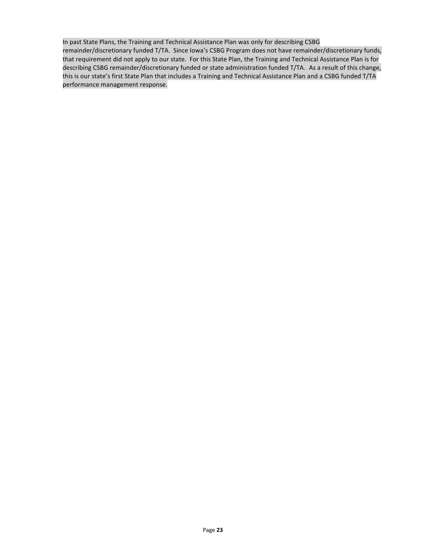In past State Plans, the Training and Technical Assistance Plan was only for describing CSBG remainder/discretionary funded T/TA. Since Iowa's CSBG Program does not have remainder/discretionary funds, that requirement did not apply to our state. For this State Plan, the Training and Technical Assistance Plan is for describing CSBG remainder/discretionary funded or state administration funded T/TA. As a result of this change, this is our state's first State Plan that includes a Training and Technical Assistance Plan and a CSBG funded T/TA performance management response.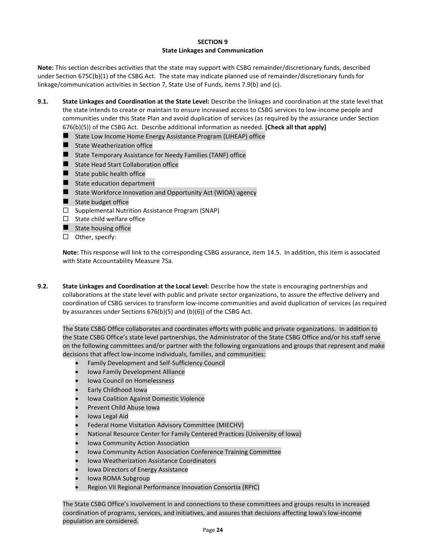#### **SECTION 9 State Linkages and Communication**

**Note:** This section describes activities that the state may support with CSBG remainder/discretionary funds, described under Section 675C(b)(1) of the CSBG Act. The state may indicate planned use of remainder/discretionary funds for linkage/communication activities in Section 7, State Use of Funds, items 7.9(b) and (c).

- **9.1. State Linkages and Coordination at the State Level:** Describe the linkages and coordination at the state level that the state intends to create or maintain to ensure increased access to CSBG services to low-income people and communities under this State Plan and avoid duplication of services (as required by the assurance under Section 676(b)(5)) of the CSBG Act. Describe additional information as needed. **[Check all that apply]**
	- State Low Income Home Energy Assistance Program (LIHEAP) office
	- State Weatherization office
	- State Temporary Assistance for Needy Families (TANF) office
	- State Head Start Collaboration office
	- $\blacksquare$  State public health office
	- State education department
	- State Workforce Innovation and Opportunity Act (WIOA) agency
	- State budget office
	- $\square$  Supplemental Nutrition Assistance Program (SNAP)
	- $\Box$  State child welfare office
	- State housing office
	- $\Box$  Other, specify:

**Note:** This response will link to the corresponding CSBG assurance, item 14.5. In addition, this item is associated with State Accountability Measure 7Sa.

**9.2. State Linkages and Coordination at the Local Level:** Describe how the state is encouraging partnerships and collaborations at the state level with public and private sector organizations, to assure the effective delivery and coordination of CSBG services to transform low-income communities and avoid duplication of services (as required by assurances under Sections 676(b)(5) and (b)(6)) of the CSBG Act.

The State CSBG Office collaborates and coordinates efforts with public and private organizations. In addition to the State CSBG Office's state level partnerships, the Administrator of the State CSBG Office and/or his staff serve on the following committees and/or partner with the following organizations and groups that represent and make decisions that affect low-income individuals, families, and communities:

- Family Development and Self-Sufficiency Council
- Iowa Family Development Alliance
- Iowa Council on Homelessness
- Early Childhood Iowa
- Iowa Coalition Against Domestic Violence
- Prevent Child Abuse Iowa
- Iowa Legal Aid
- Federal Home Visitation Advisory Committee (MIECHV)
- National Resource Center for Family Centered Practices (University of Iowa)
- Iowa Community Action Association
- Iowa Community Action Association Conference Training Committee
- Iowa Weatherization Assistance Coordinators
- Iowa Directors of Energy Assistance
- Iowa ROMA Subgroup
- Region VII Regional Performance Innovation Consortia (RPIC)

The State CSBG Office's involvement in and connections to these committees and groups results in increased coordination of programs, services, and initiatives, and assures that decisions affecting Iowa's low-income population are considered.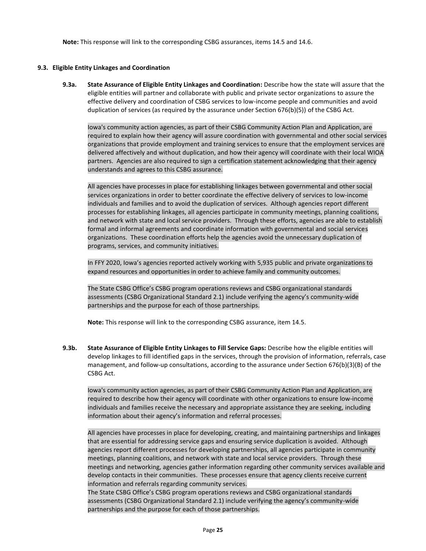**Note:** This response will link to the corresponding CSBG assurances, items 14.5 and 14.6.

## **9.3. Eligible Entity Linkages and Coordination**

**9.3a. State Assurance of Eligible Entity Linkages and Coordination:** Describe how the state will assure that the eligible entities will partner and collaborate with public and private sector organizations to assure the effective delivery and coordination of CSBG services to low-income people and communities and avoid duplication of services (as required by the assurance under Section 676(b)(5)) of the CSBG Act.

Iowa's community action agencies, as part of their CSBG Community Action Plan and Application, are required to explain how their agency will assure coordination with governmental and other social services organizations that provide employment and training services to ensure that the employment services are delivered affectively and without duplication, and how their agency will coordinate with their local WIOA partners. Agencies are also required to sign a certification statement acknowledging that their agency understands and agrees to this CSBG assurance.

All agencies have processes in place for establishing linkages between governmental and other social services organizations in order to better coordinate the effective delivery of services to low-income individuals and families and to avoid the duplication of services. Although agencies report different processes for establishing linkages, all agencies participate in community meetings, planning coalitions, and network with state and local service providers. Through these efforts, agencies are able to establish formal and informal agreements and coordinate information with governmental and social services organizations. These coordination efforts help the agencies avoid the unnecessary duplication of programs, services, and community initiatives.

In FFY 2020, Iowa's agencies reported actively working with 5,935 public and private organizations to expand resources and opportunities in order to achieve family and community outcomes.

The State CSBG Office's CSBG program operations reviews and CSBG organizational standards assessments (CSBG Organizational Standard 2.1) include verifying the agency's community-wide partnerships and the purpose for each of those partnerships.

**Note:** This response will link to the corresponding CSBG assurance, item 14.5.

**9.3b. State Assurance of Eligible Entity Linkages to Fill Service Gaps:** Describe how the eligible entities will develop linkages to fill identified gaps in the services, through the provision of information, referrals, case management, and follow-up consultations, according to the assurance under Section 676(b)(3)(B) of the CSBG Act.

Iowa's community action agencies, as part of their CSBG Community Action Plan and Application, are required to describe how their agency will coordinate with other organizations to ensure low-income individuals and families receive the necessary and appropriate assistance they are seeking, including information about their agency's information and referral processes.

All agencies have processes in place for developing, creating, and maintaining partnerships and linkages that are essential for addressing service gaps and ensuring service duplication is avoided. Although agencies report different processes for developing partnerships, all agencies participate in community meetings, planning coalitions, and network with state and local service providers. Through these meetings and networking, agencies gather information regarding other community services available and develop contacts in their communities. These processes ensure that agency clients receive current information and referrals regarding community services.

The State CSBG Office's CSBG program operations reviews and CSBG organizational standards assessments (CSBG Organizational Standard 2.1) include verifying the agency's community-wide partnerships and the purpose for each of those partnerships.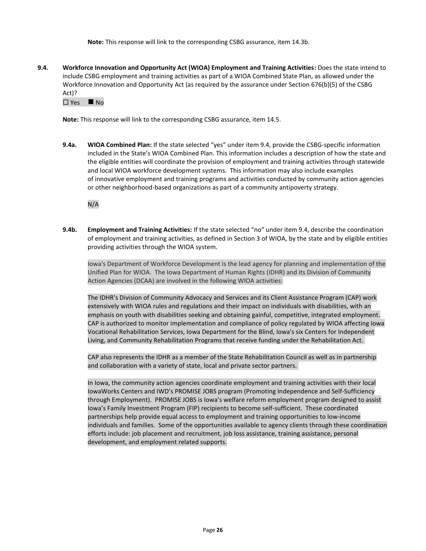**Note:** This response will link to the corresponding CSBG assurance, item 14.3b.

**9.4. Workforce Innovation and Opportunity Act (WIOA) Employment and Training Activities:** Does the state intend to include CSBG employment and training activities as part of a WIOA Combined State Plan, as allowed under the Workforce Innovation and Opportunity Act (as required by the assurance under Section 676(b)(5) of the CSBG Act)?

Yes ◼ No

**Note:** This response will link to the corresponding CSBG assurance, item 14.5.

**9.4a. WIOA Combined Plan:** If the state selected "yes" under item 9.4, provide the CSBG-specific information included in the State's WIOA Combined Plan. This information includes a description of how the state and the eligible entities will coordinate the provision of employment and training activities through statewide and local WIOA workforce development systems. This information may also include examples of innovative employment and training programs and activities conducted by community action agencies or other neighborhood-based organizations as part of a community antipoverty strategy.

N/A

**9.4b. Employment and Training Activities:** If the state selected "no" under item 9.4, describe the coordination of employment and training activities, as defined in Section 3 of WIOA, by the state and by eligible entities providing activities through the WIOA system.

Iowa's Department of Workforce Development is the lead agency for planning and implementation of the Unified Plan for WIOA. The Iowa Department of Human Rights (IDHR) and its Division of Community Action Agencies (DCAA) are involved in the following WIOA activities:

The IDHR's Division of Community Advocacy and Services and its Client Assistance Program (CAP) work extensively with WIOA rules and regulations and their impact on individuals with disabilities, with an emphasis on youth with disabilities seeking and obtaining gainful, competitive, integrated employment. CAP is authorized to monitor implementation and compliance of policy regulated by WIOA affecting Iowa Vocational Rehabilitation Services, Iowa Department for the Blind, Iowa's six Centers for Independent Living, and Community Rehabilitation Programs that receive funding under the Rehabilitation Act.

CAP also represents the IDHR as a member of the State Rehabilitation Council as well as in partnership and collaboration with a variety of state, local and private sector partners.

In Iowa, the community action agencies coordinate employment and training activities with their local IowaWorks Centers and IWD's PROMISE JOBS program (Promoting Independence and Self-Sufficiency through Employment). PROMISE JOBS is Iowa's welfare reform employment program designed to assist Iowa's Family Investment Program (FIP) recipients to become self-sufficient. These coordinated partnerships help provide equal access to employment and training opportunities to low-income individuals and families. Some of the opportunities available to agency clients through these coordination efforts include: job placement and recruitment, job loss assistance, training assistance, personal development, and employment related supports.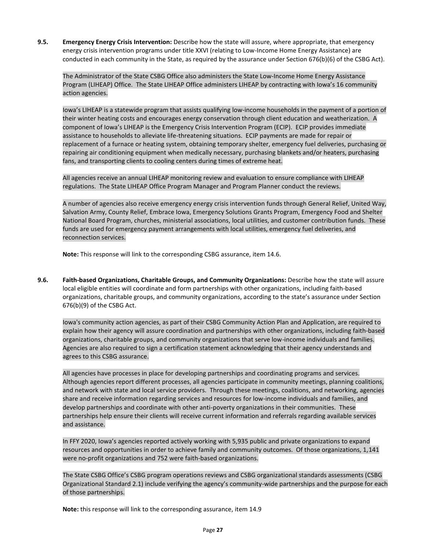**9.5. Emergency Energy Crisis Intervention:** Describe how the state will assure, where appropriate, that emergency energy crisis intervention programs under title XXVI (relating to Low-Income Home Energy Assistance) are conducted in each community in the State, as required by the assurance under Section 676(b)(6) of the CSBG Act).

The Administrator of the State CSBG Office also administers the State Low-Income Home Energy Assistance Program (LIHEAP) Office. The State LIHEAP Office administers LIHEAP by contracting with Iowa's 16 community action agencies.

Iowa's LIHEAP is a statewide program that assists qualifying low-income households in the payment of a portion of their winter heating costs and encourages energy conservation through client education and weatherization. A component of Iowa's LIHEAP is the Emergency Crisis Intervention Program (ECIP). ECIP provides immediate assistance to households to alleviate life-threatening situations. ECIP payments are made for repair or replacement of a furnace or heating system, obtaining temporary shelter, emergency fuel deliveries, purchasing or repairing air conditioning equipment when medically necessary, purchasing blankets and/or heaters, purchasing fans, and transporting clients to cooling centers during times of extreme heat.

All agencies receive an annual LIHEAP monitoring review and evaluation to ensure compliance with LIHEAP regulations. The State LIHEAP Office Program Manager and Program Planner conduct the reviews.

A number of agencies also receive emergency energy crisis intervention funds through General Relief, United Way, Salvation Army, County Relief, Embrace Iowa, Emergency Solutions Grants Program, Emergency Food and Shelter National Board Program, churches, ministerial associations, local utilities, and customer contribution funds. These funds are used for emergency payment arrangements with local utilities, emergency fuel deliveries, and reconnection services.

**Note:** This response will link to the corresponding CSBG assurance, item 14.6.

**9.6. Faith-based Organizations, Charitable Groups, and Community Organizations:** Describe how the state will assure local eligible entities will coordinate and form partnerships with other organizations, including faith-based organizations, charitable groups, and community organizations, according to the state's assurance under Section 676(b)(9) of the CSBG Act.

Iowa's community action agencies, as part of their CSBG Community Action Plan and Application, are required to explain how their agency will assure coordination and partnerships with other organizations, including faith-based organizations, charitable groups, and community organizations that serve low-income individuals and families. Agencies are also required to sign a certification statement acknowledging that their agency understands and agrees to this CSBG assurance.

All agencies have processes in place for developing partnerships and coordinating programs and services. Although agencies report different processes, all agencies participate in community meetings, planning coalitions, and network with state and local service providers. Through these meetings, coalitions, and networking, agencies share and receive information regarding services and resources for low-income individuals and families, and develop partnerships and coordinate with other anti-poverty organizations in their communities. These partnerships help ensure their clients will receive current information and referrals regarding available services and assistance.

In FFY 2020, Iowa's agencies reported actively working with 5,935 public and private organizations to expand resources and opportunities in order to achieve family and community outcomes. Of those organizations, 1,141 were no-profit organizations and 752 were faith-based organizations.

The State CSBG Office's CSBG program operations reviews and CSBG organizational standards assessments (CSBG Organizational Standard 2.1) include verifying the agency's community-wide partnerships and the purpose for each of those partnerships.

**Note:** this response will link to the corresponding assurance, item 14.9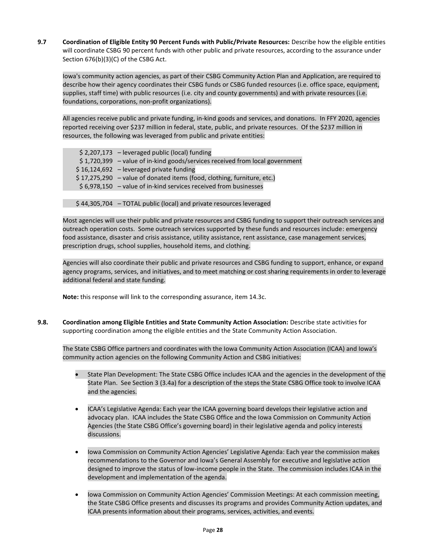**9.7 Coordination of Eligible Entity 90 Percent Funds with Public/Private Resources:** Describe how the eligible entities will coordinate CSBG 90 percent funds with other public and private resources, according to the assurance under Section 676(b)(3)(C) of the CSBG Act.

Iowa's community action agencies, as part of their CSBG Community Action Plan and Application, are required to describe how their agency coordinates their CSBG funds or CSBG funded resources (i.e. office space, equipment, supplies, staff time) with public resources (i.e. city and county governments) and with private resources (i.e. foundations, corporations, non-profit organizations).

All agencies receive public and private funding, in-kind goods and services, and donations. In FFY 2020, agencies reported receiving over \$237 million in federal, state, public, and private resources. Of the \$237 million in resources, the following was leveraged from public and private entities:

| $$2,207,173$ - leveraged public (local) funding                               |
|-------------------------------------------------------------------------------|
| $$1,720,399$ - value of in-kind goods/services received from local government |
| $$16,124,692$ - leveraged private funding                                     |
| $$17,275,290$ – value of donated items (food, clothing, furniture, etc.)      |
| $$6,978,150$ - value of in-kind services received from businesses             |
|                                                                               |

\$ 44,305,704 – TOTAL public (local) and private resources leveraged

Most agencies will use their public and private resources and CSBG funding to support their outreach services and outreach operation costs. Some outreach services supported by these funds and resources include: emergency food assistance, disaster and crisis assistance, utility assistance, rent assistance, case management services, prescription drugs, school supplies, household items, and clothing.

Agencies will also coordinate their public and private resources and CSBG funding to support, enhance, or expand agency programs, services, and initiatives, and to meet matching or cost sharing requirements in order to leverage additional federal and state funding.

**Note:** this response will link to the corresponding assurance, item 14.3c.

**9.8. Coordination among Eligible Entities and State Community Action Association:** Describe state activities for supporting coordination among the eligible entities and the State Community Action Association.

The State CSBG Office partners and coordinates with the Iowa Community Action Association (ICAA) and Iowa's community action agencies on the following Community Action and CSBG initiatives:

- State Plan Development: The State CSBG Office includes ICAA and the agencies in the development of the State Plan. See Section 3 (3.4a) for a description of the steps the State CSBG Office took to involve ICAA and the agencies.
- ICAA's Legislative Agenda: Each year the ICAA governing board develops their legislative action and advocacy plan. ICAA includes the State CSBG Office and the Iowa Commission on Community Action Agencies (the State CSBG Office's governing board) in their legislative agenda and policy interests discussions.
- Iowa Commission on Community Action Agencies' Legislative Agenda: Each year the commission makes recommendations to the Governor and Iowa's General Assembly for executive and legislative action designed to improve the status of low-income people in the State. The commission includes ICAA in the development and implementation of the agenda.
- Iowa Commission on Community Action Agencies' Commission Meetings: At each commission meeting, the State CSBG Office presents and discusses its programs and provides Community Action updates, and ICAA presents information about their programs, services, activities, and events.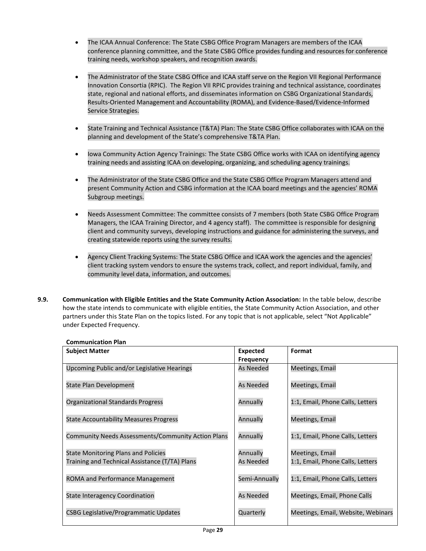- The ICAA Annual Conference: The State CSBG Office Program Managers are members of the ICAA conference planning committee, and the State CSBG Office provides funding and resources for conference training needs, workshop speakers, and recognition awards.
- The Administrator of the State CSBG Office and ICAA staff serve on the Region VII Regional Performance Innovation Consortia (RPIC). The Region VII RPIC provides training and technical assistance, coordinates state, regional and national efforts, and disseminates information on CSBG Organizational Standards, Results-Oriented Management and Accountability (ROMA), and Evidence-Based/Evidence-Informed Service Strategies.
- State Training and Technical Assistance (T&TA) Plan: The State CSBG Office collaborates with ICAA on the planning and development of the State's comprehensive T&TA Plan.
- Iowa Community Action Agency Trainings: The State CSBG Office works with ICAA on identifying agency training needs and assisting ICAA on developing, organizing, and scheduling agency trainings.
- The Administrator of the State CSBG Office and the State CSBG Office Program Managers attend and present Community Action and CSBG information at the ICAA board meetings and the agencies' ROMA Subgroup meetings.
- Needs Assessment Committee: The committee consists of 7 members (both State CSBG Office Program Managers, the ICAA Training Director, and 4 agency staff). The committee is responsible for designing client and community surveys, developing instructions and guidance for administering the surveys, and creating statewide reports using the survey results.
- Agency Client Tracking Systems: The State CSBG Office and ICAA work the agencies and the agencies' client tracking system vendors to ensure the systems track, collect, and report individual, family, and community level data, information, and outcomes.
- **9.9. Communication with Eligible Entities and the State Community Action Association:** In the table below, describe how the state intends to communicate with eligible entities, the State Community Action Association, and other partners under this State Plan on the topics listed. For any topic that is not applicable, select "Not Applicable" under Expected Frequency.

| <b>Subject Matter</b>                                                                        | <b>Expected</b>       | Format                                              |
|----------------------------------------------------------------------------------------------|-----------------------|-----------------------------------------------------|
|                                                                                              | <b>Frequency</b>      |                                                     |
| Upcoming Public and/or Legislative Hearings                                                  | As Needed             | Meetings, Email                                     |
| <b>State Plan Development</b>                                                                | <b>As Needed</b>      | Meetings, Email                                     |
| Organizational Standards Progress                                                            | Annually              | 1:1, Email, Phone Calls, Letters                    |
| <b>State Accountability Measures Progress</b>                                                | Annually              | Meetings, Email                                     |
| Community Needs Assessments/Community Action Plans                                           | Annually              | 1:1, Email, Phone Calls, Letters                    |
| <b>State Monitoring Plans and Policies</b><br>Training and Technical Assistance (T/TA) Plans | Annually<br>As Needed | Meetings, Email<br>1:1, Email, Phone Calls, Letters |
| ROMA and Performance Management                                                              | Semi-Annually         | 1:1, Email, Phone Calls, Letters                    |
| <b>State Interagency Coordination</b>                                                        | <b>As Needed</b>      | Meetings, Email, Phone Calls                        |
| <b>CSBG Legislative/Programmatic Updates</b>                                                 | Quarterly             | Meetings, Email, Website, Webinars                  |

## **Communication Plan**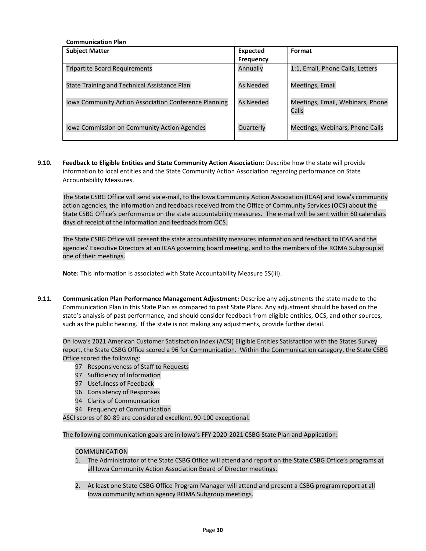| <b>Communication Plan</b>                             |                  |                                           |  |  |  |
|-------------------------------------------------------|------------------|-------------------------------------------|--|--|--|
| <b>Subject Matter</b>                                 | <b>Expected</b>  | Format                                    |  |  |  |
|                                                       | <b>Frequency</b> |                                           |  |  |  |
| <b>Tripartite Board Requirements</b>                  | Annually         | 1:1, Email, Phone Calls, Letters          |  |  |  |
| State Training and Technical Assistance Plan          | As Needed        | Meetings, Email                           |  |  |  |
| Iowa Community Action Association Conference Planning | As Needed        | Meetings, Email, Webinars, Phone<br>Calls |  |  |  |
| Iowa Commission on Community Action Agencies          | Quarterly        | Meetings, Webinars, Phone Calls           |  |  |  |

**9.10. Feedback to Eligible Entities and State Community Action Association:** Describe how the state will provide information to local entities and the State Community Action Association regarding performance on State Accountability Measures.

The State CSBG Office will send via e-mail, to the Iowa Community Action Association (ICAA) and Iowa's community action agencies, the information and feedback received from the Office of Community Services (OCS) about the State CSBG Office's performance on the state accountability measures. The e-mail will be sent within 60 calendars days of receipt of the information and feedback from OCS.

The State CSBG Office will present the state accountability measures information and feedback to ICAA and the agencies' Executive Directors at an ICAA governing board meeting, and to the members of the ROMA Subgroup at one of their meetings.

**Note:** This information is associated with State Accountability Measure 5S(iii).

**9.11. Communication Plan Performance Management Adjustment:** Describe any adjustments the state made to the Communication Plan in this State Plan as compared to past State Plans. Any adjustment should be based on the state's analysis of past performance, and should consider feedback from eligible entities, OCS, and other sources, such as the public hearing. If the state is not making any adjustments, provide further detail.

On Iowa's 2021 American Customer Satisfaction Index (ACSI) Eligible Entities Satisfaction with the States Survey report, the State CSBG Office scored a 96 for Communication. Within the Communication category, the State CSBG Office scored the following:

- 97 Responsiveness of Staff to Requests
- 97 Sufficiency of Information
- 97 Usefulness of Feedback
- 96 Consistency of Responses
- 94 Clarity of Communication
- 94 Frequency of Communication

ASCI scores of 80-89 are considered excellent, 90-100 exceptional.

The following communication goals are in Iowa's FFY 2020-2021 CSBG State Plan and Application:

## COMMUNICATION

- 1. The Administrator of the State CSBG Office will attend and report on the State CSBG Office's programs at all Iowa Community Action Association Board of Director meetings.
- 2. At least one State CSBG Office Program Manager will attend and present a CSBG program report at all Iowa community action agency ROMA Subgroup meetings.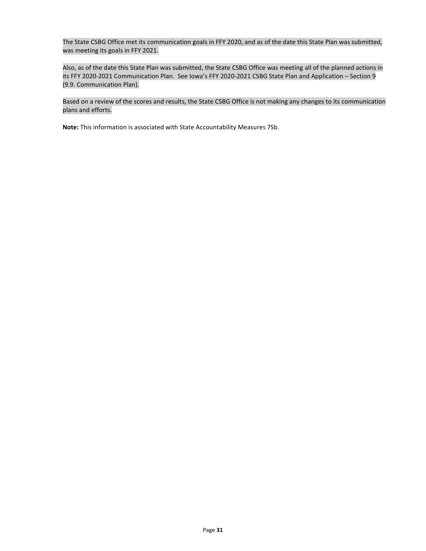The State CSBG Office met its communication goals in FFY 2020, and as of the date this State Plan was submitted, was meeting its goals in FFY 2021.

Also, as of the date this State Plan was submitted, the State CSBG Office was meeting all of the planned actions in its FFY 2020-2021 Communication Plan. See Iowa's FFY 2020-2021 CSBG State Plan and Application – Section 9 (9.9. Communication Plan).

Based on a review of the scores and results, the State CSBG Office is not making any changes to its communication plans and efforts.

**Note:** This information is associated with State Accountability Measures 7Sb.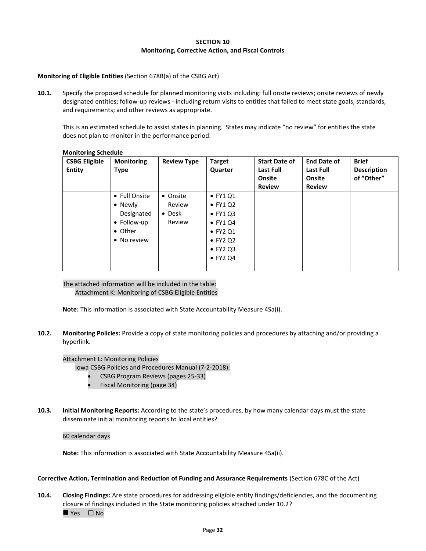#### **SECTION 10 Monitoring, Corrective Action, and Fiscal Controls**

## **Monitoring of Eligible Entities** (Section 678B(a) of the CSBG Act)

**10.1.** Specify the proposed schedule for planned monitoring visits including: full onsite reviews; onsite reviews of newly designated entities; follow-up reviews - including return visits to entities that failed to meet state goals, standards, and requirements; and other reviews as appropriate.

This is an estimated schedule to assist states in planning. States may indicate "no review" for entities the state does not plan to monitor in the performance period.

| <b>CSBG Eligible</b><br><b>Entity</b> | <b>Monitoring</b><br><b>Type</b>                                                | <b>Review Type</b>                             | <b>Target</b><br>Quarter                                                                                                                                     | <b>Start Date of</b><br>Last Full<br>Onsite<br><b>Review</b> | <b>End Date of</b><br><b>Last Full</b><br>Onsite<br><b>Review</b> | <b>Brief</b><br><b>Description</b><br>of "Other" |
|---------------------------------------|---------------------------------------------------------------------------------|------------------------------------------------|--------------------------------------------------------------------------------------------------------------------------------------------------------------|--------------------------------------------------------------|-------------------------------------------------------------------|--------------------------------------------------|
|                                       | • Full Onsite<br>• Newly<br>Designated<br>• Follow-up<br>• Other<br>• No review | • Onsite<br>Review<br>$\bullet$ Desk<br>Review | $\bullet$ FY1 Q1<br>$\bullet$ FY1 Q2<br>$\bullet$ FY1 Q3<br>$\bullet$ FY1 Q4<br>$\bullet$ FY2 Q1<br>$\bullet$ FY2 Q2<br>$\bullet$ FY2 Q3<br>$\bullet$ FY2 Q4 |                                                              |                                                                   |                                                  |

#### **Monitoring Schedule**

The attached information will be included in the table: Attachment K: Monitoring of CSBG Eligible Entities

**Note:** This information is associated with State Accountability Measure 4Sa(i).

**10.2. Monitoring Policies:** Provide a copy of state monitoring policies and procedures by attaching and/or providing a hyperlink.

Attachment L: Monitoring Policies

Iowa CSBG Policies and Procedures Manual (7-2-2018):

- CSBG Program Reviews (pages 25-33)
- Fiscal Monitoring (page 34)
- **10.3. Initial Monitoring Reports:** According to the state's procedures, by how many calendar days must the state disseminate initial monitoring reports to local entities?

#### 60 calendar days

**Note:** This information is associated with State Accountability Measure 4Sa(ii).

#### **Corrective Action, Termination and Reduction of Funding and Assurance Requirements** (Section 678C of the Act)

**10.4. Closing Findings:** Are state procedures for addressing eligible entity findings/deficiencies, and the documenting closure of findings included in the State monitoring policies attached under 10.2? ■ Yes □ No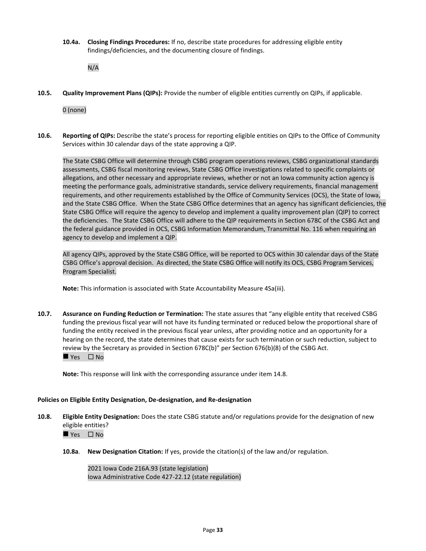**10.4a. Closing Findings Procedures:** If no, describe state procedures for addressing eligible entity findings/deficiencies, and the documenting closure of findings.

N/A

**10.5. Quality Improvement Plans (QIPs):** Provide the number of eligible entities currently on QIPs, if applicable.

0 (none)

**10.6. Reporting of QIPs:** Describe the state's process for reporting eligible entities on QIPs to the Office of Community Services within 30 calendar days of the state approving a QIP.

The State CSBG Office will determine through CSBG program operations reviews, CSBG organizational standards assessments, CSBG fiscal monitoring reviews, State CSBG Office investigations related to specific complaints or allegations, and other necessary and appropriate reviews, whether or not an Iowa community action agency is meeting the performance goals, administrative standards, service delivery requirements, financial management requirements, and other requirements established by the Office of Community Services (OCS), the State of Iowa, and the State CSBG Office. When the State CSBG Office determines that an agency has significant deficiencies, the State CSBG Office will require the agency to develop and implement a quality improvement plan (QIP) to correct the deficiencies. The State CSBG Office will adhere to the QIP requirements in Section 678C of the CSBG Act and the federal guidance provided in OCS, CSBG Information Memorandum, Transmittal No. 116 when requiring an agency to develop and implement a QIP.

All agency QIPs, approved by the State CSBG Office, will be reported to OCS within 30 calendar days of the State CSBG Office's approval decision. As directed, the State CSBG Office will notify its OCS, CSBG Program Services, Program Specialist.

**Note:** This information is associated with State Accountability Measure 4Sa(iii).

**10.7. Assurance on Funding Reduction or Termination:** The state assures that "any eligible entity that received CSBG funding the previous fiscal year will not have its funding terminated or reduced below the proportional share of funding the entity received in the previous fiscal year unless, after providing notice and an opportunity for a hearing on the record, the state determines that cause exists for such termination or such reduction, subject to review by the Secretary as provided in Section 678C(b)" per Section 676(b)(8) of the CSBG Act.

 $\rule{1em}{0.15mm}$  Yes  $\Box$  No

**Note:** This response will link with the corresponding assurance under item 14.8.

#### **Policies on Eligible Entity Designation, De-designation, and Re-designation**

**10.8. Eligible Entity Designation:** Does the state CSBG statute and/or regulations provide for the designation of new eligible entities?

 $\rightharpoonup$  Yes  $\Box$  No

**10.8a**. **New Designation Citation:** If yes, provide the citation(s) of the law and/or regulation.

2021 Iowa Code 216A.93 (state legislation) Iowa Administrative Code 427-22.12 (state regulation)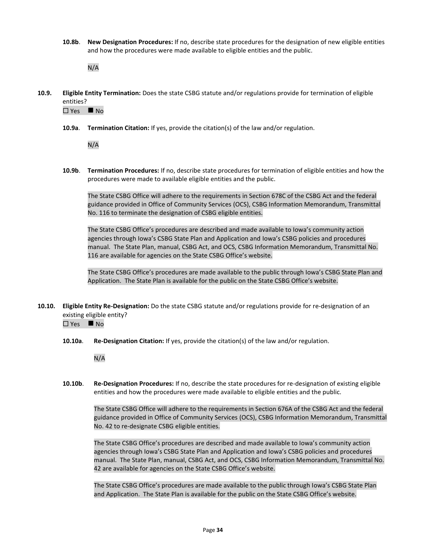**10.8b**. **New Designation Procedures:** If no, describe state procedures for the designation of new eligible entities and how the procedures were made available to eligible entities and the public.

N/A

**10.9. Eligible Entity Termination:** Does the state CSBG statute and/or regulations provide for termination of eligible entities?

 $\Box$  Yes  $\blacksquare$  No

**10.9a**. **Termination Citation:** If yes, provide the citation(s) of the law and/or regulation.

N/A

**10.9b**. **Termination Procedures:** If no, describe state procedures for termination of eligible entities and how the procedures were made to available eligible entities and the public.

The State CSBG Office will adhere to the requirements in Section 678C of the CSBG Act and the federal guidance provided in Office of Community Services (OCS), CSBG Information Memorandum, Transmittal No. 116 to terminate the designation of CSBG eligible entities.

The State CSBG Office's procedures are described and made available to Iowa's community action agencies through Iowa's CSBG State Plan and Application and Iowa's CSBG policies and procedures manual. The State Plan, manual, CSBG Act, and OCS, CSBG Information Memorandum, Transmittal No. 116 are available for agencies on the State CSBG Office's website.

The State CSBG Office's procedures are made available to the public through Iowa's CSBG State Plan and Application. The State Plan is available for the public on the State CSBG Office's website.

**10.10. Eligible Entity Re-Designation:** Do the state CSBG statute and/or regulations provide for re-designation of an existing eligible entity?

 $\Box$  Yes  $\blacksquare$  No

**10.10a**. **Re-Designation Citation:** If yes, provide the citation(s) of the law and/or regulation.

N/A

**10.10b**. **Re-Designation Procedures:** If no, describe the state procedures for re-designation of existing eligible entities and how the procedures were made available to eligible entities and the public.

The State CSBG Office will adhere to the requirements in Section 676A of the CSBG Act and the federal guidance provided in Office of Community Services (OCS), CSBG Information Memorandum, Transmittal No. 42 to re-designate CSBG eligible entities.

The State CSBG Office's procedures are described and made available to Iowa's community action agencies through Iowa's CSBG State Plan and Application and Iowa's CSBG policies and procedures manual. The State Plan, manual, CSBG Act, and OCS, CSBG Information Memorandum, Transmittal No. 42 are available for agencies on the State CSBG Office's website.

The State CSBG Office's procedures are made available to the public through Iowa's CSBG State Plan and Application. The State Plan is available for the public on the State CSBG Office's website.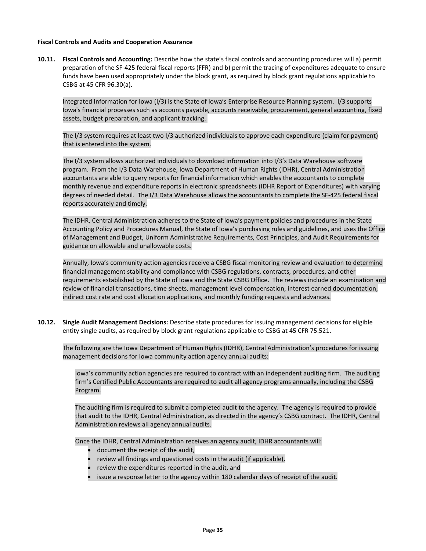#### **Fiscal Controls and Audits and Cooperation Assurance**

**10.11. Fiscal Controls and Accounting:** Describe how the state's fiscal controls and accounting procedures will a) permit preparation of the SF-425 federal fiscal reports (FFR) and b) permit the tracing of expenditures adequate to ensure funds have been used appropriately under the block grant, as required by block grant regulations applicable to CSBG at 45 CFR 96.30(a).

Integrated Information for Iowa (I/3) is the State of Iowa's Enterprise Resource Planning system. I/3 supports Iowa's financial processes such as accounts payable, accounts receivable, procurement, general accounting, fixed assets, budget preparation, and applicant tracking.

The I/3 system requires at least two I/3 authorized individuals to approve each expenditure (claim for payment) that is entered into the system.

The I/3 system allows authorized individuals to download information into I/3's Data Warehouse software program. From the I/3 Data Warehouse, Iowa Department of Human Rights (IDHR), Central Administration accountants are able to query reports for financial information which enables the accountants to complete monthly revenue and expenditure reports in electronic spreadsheets (IDHR Report of Expenditures) with varying degrees of needed detail. The I/3 Data Warehouse allows the accountants to complete the SF-425 federal fiscal reports accurately and timely.

The IDHR, Central Administration adheres to the State of Iowa's payment policies and procedures in the State Accounting Policy and Procedures Manual, the State of Iowa's purchasing rules and guidelines, and uses the Office of Management and Budget, Uniform Administrative Requirements, Cost Principles, and Audit Requirements for guidance on allowable and unallowable costs.

Annually, Iowa's community action agencies receive a CSBG fiscal monitoring review and evaluation to determine financial management stability and compliance with CSBG regulations, contracts, procedures, and other requirements established by the State of Iowa and the State CSBG Office. The reviews include an examination and review of financial transactions, time sheets, management level compensation, interest earned documentation, indirect cost rate and cost allocation applications, and monthly funding requests and advances.

**10.12. Single Audit Management Decisions:** Describe state procedures for issuing management decisions for eligible entity single audits, as required by block grant regulations applicable to CSBG at 45 CFR 75.521.

The following are the Iowa Department of Human Rights (IDHR), Central Administration's procedures for issuing management decisions for Iowa community action agency annual audits:

Iowa's community action agencies are required to contract with an independent auditing firm. The auditing firm's Certified Public Accountants are required to audit all agency programs annually, including the CSBG Program.

The auditing firm is required to submit a completed audit to the agency. The agency is required to provide that audit to the IDHR, Central Administration, as directed in the agency's CSBG contract. The IDHR, Central Administration reviews all agency annual audits.

Once the IDHR, Central Administration receives an agency audit, IDHR accountants will:

- document the receipt of the audit,
- review all findings and questioned costs in the audit (if applicable),
- review the expenditures reported in the audit, and
- issue a response letter to the agency within 180 calendar days of receipt of the audit.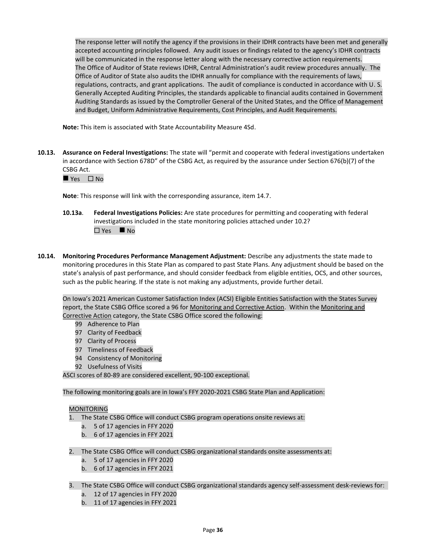The response letter will notify the agency if the provisions in their IDHR contracts have been met and generally accepted accounting principles followed. Any audit issues or findings related to the agency's IDHR contracts will be communicated in the response letter along with the necessary corrective action requirements. The Office of Auditor of State reviews IDHR, Central Administration's audit review procedures annually. The Office of Auditor of State also audits the IDHR annually for compliance with the requirements of laws, regulations, contracts, and grant applications. The audit of compliance is conducted in accordance with U. S. Generally Accepted Auditing Principles, the standards applicable to financial audits contained in Government Auditing Standards as issued by the Comptroller General of the United States, and the Office of Management and Budget, Uniform Administrative Requirements, Cost Principles, and Audit Requirements.

**Note:** This item is associated with State Accountability Measure 4Sd.

**10.13. Assurance on Federal Investigations:** The state will "permit and cooperate with federal investigations undertaken in accordance with Section 678D" of the CSBG Act, as required by the assurance under Section 676(b)(7) of the CSBG Act.

 $\blacksquare$  Yes  $\Box$  No

**Note**: This response will link with the corresponding assurance, item 14.7.

- **10.13a**. **Federal Investigations Policies:** Are state procedures for permitting and cooperating with federal investigations included in the state monitoring policies attached under 10.2? Yes ◼ No
- **10.14. Monitoring Procedures Performance Management Adjustment:** Describe any adjustments the state made to monitoring procedures in this State Plan as compared to past State Plans. Any adjustment should be based on the state's analysis of past performance, and should consider feedback from eligible entities, OCS, and other sources, such as the public hearing. If the state is not making any adjustments, provide further detail.

On Iowa's 2021 American Customer Satisfaction Index (ACSI) Eligible Entities Satisfaction with the States Survey report, the State CSBG Office scored a 96 for Monitoring and Corrective Action. Within the Monitoring and Corrective Action category, the State CSBG Office scored the following:

- 99 Adherence to Plan
- 97 Clarity of Feedback
- 97 Clarity of Process
- 97 Timeliness of Feedback
- 94 Consistency of Monitoring
- 92 Usefulness of Visits

ASCI scores of 80-89 are considered excellent, 90-100 exceptional.

The following monitoring goals are in Iowa's FFY 2020-2021 CSBG State Plan and Application:

#### MONITORING

- 1. The State CSBG Office will conduct CSBG program operations onsite reviews at:
	- a. 5 of 17 agencies in FFY 2020
	- b. 6 of 17 agencies in FFY 2021
- 2. The State CSBG Office will conduct CSBG organizational standards onsite assessments at:
	- a. 5 of 17 agencies in FFY 2020
	- b. 6 of 17 agencies in FFY 2021
- 3. The State CSBG Office will conduct CSBG organizational standards agency self-assessment desk-reviews for:
	- a. 12 of 17 agencies in FFY 2020
	- b. 11 of 17 agencies in FFY 2021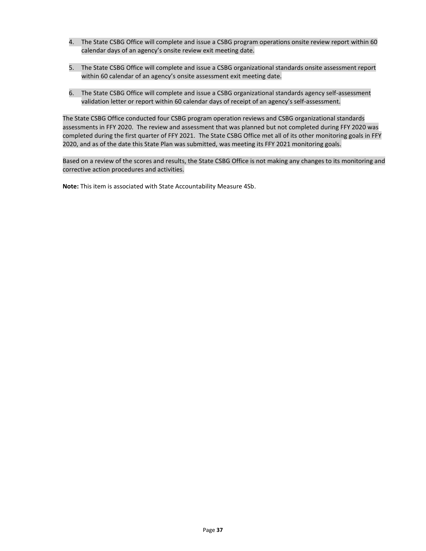- 4. The State CSBG Office will complete and issue a CSBG program operations onsite review report within 60 calendar days of an agency's onsite review exit meeting date.
- 5. The State CSBG Office will complete and issue a CSBG organizational standards onsite assessment report within 60 calendar of an agency's onsite assessment exit meeting date.
- 6. The State CSBG Office will complete and issue a CSBG organizational standards agency self-assessment validation letter or report within 60 calendar days of receipt of an agency's self-assessment.

The State CSBG Office conducted four CSBG program operation reviews and CSBG organizational standards assessments in FFY 2020. The review and assessment that was planned but not completed during FFY 2020 was completed during the first quarter of FFY 2021. The State CSBG Office met all of its other monitoring goals in FFY 2020, and as of the date this State Plan was submitted, was meeting its FFY 2021 monitoring goals.

Based on a review of the scores and results, the State CSBG Office is not making any changes to its monitoring and corrective action procedures and activities.

**Note:** This item is associated with State Accountability Measure 4Sb.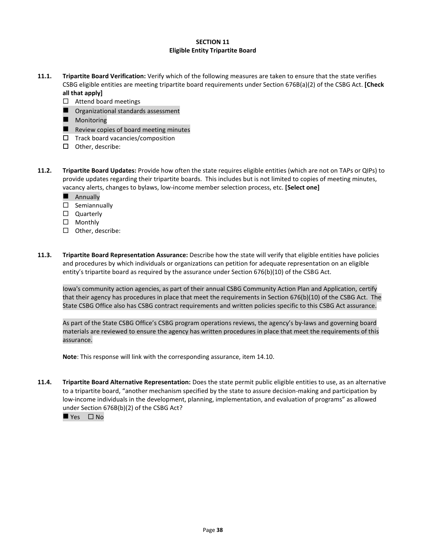## **SECTION 11 Eligible Entity Tripartite Board**

- **11.1. Tripartite Board Verification:** Verify which of the following measures are taken to ensure that the state verifies CSBG eligible entities are meeting tripartite board requirements under Section 676B(a)(2) of the CSBG Act. **[Check all that apply]**
	- $\Box$  Attend board meetings
	- Organizational standards assessment
	- Monitoring
	- Review copies of board meeting minutes
	- $\square$  Track board vacancies/composition
	- $\Box$  Other, describe:
- **11.2. Tripartite Board Updates:** Provide how often the state requires eligible entities (which are not on TAPs or QIPs) to provide updates regarding their tripartite boards. This includes but is not limited to copies of meeting minutes, vacancy alerts, changes to bylaws, low-income member selection process, etc. **[Select one]**
	- Annually
	- $\square$  Semiannually
	- □ Quarterly
	- □ Monthly
	- $\square$  Other, describe:
- **11.3. Tripartite Board Representation Assurance:** Describe how the state will verify that eligible entities have policies and procedures by which individuals or organizations can petition for adequate representation on an eligible entity's tripartite board as required by the assurance under Section 676(b)(10) of the CSBG Act.

Iowa's community action agencies, as part of their annual CSBG Community Action Plan and Application, certify that their agency has procedures in place that meet the requirements in Section 676(b)(10) of the CSBG Act. The State CSBG Office also has CSBG contract requirements and written policies specific to this CSBG Act assurance.

As part of the State CSBG Office's CSBG program operations reviews, the agency's by-laws and governing board materials are reviewed to ensure the agency has written procedures in place that meet the requirements of this assurance.

**Note**: This response will link with the corresponding assurance, item 14.10.

**11.4. Tripartite Board Alternative Representation:** Does the state permit public eligible entities to use, as an alternative to a tripartite board, "another mechanism specified by the state to assure decision-making and participation by low-income individuals in the development, planning, implementation, and evaluation of programs" as allowed under Section 676B(b)(2) of the CSBG Act?

 $\rule{1em}{0.15mm}$  Yes  $\Box$  No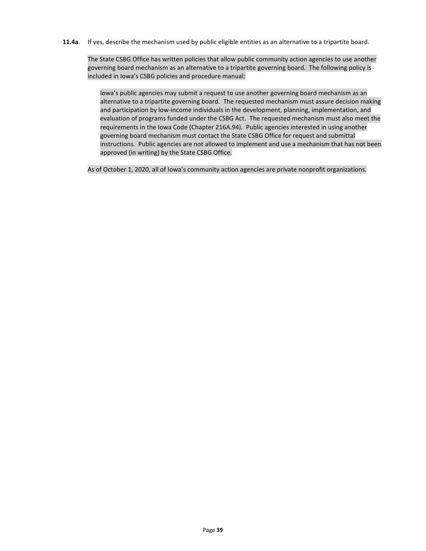## **11.4a**. If yes, describe the mechanism used by public eligible entities as an alternative to a tripartite board.

The State CSBG Office has written policies that allow public community action agencies to use another governing board mechanism as an alternative to a tripartite governing board. The following policy is included in Iowa's CSBG policies and procedure manual:

Iowa's public agencies may submit a request to use another governing board mechanism as an alternative to a tripartite governing board. The requested mechanism must assure decision making and participation by low-income individuals in the development, planning, implementation, and evaluation of programs funded under the CSBG Act. The requested mechanism must also meet the requirements in the Iowa Code (Chapter 216A.94). Public agencies interested in using another governing board mechanism must contact the State CSBG Office for request and submittal instructions. Public agencies are not allowed to implement and use a mechanism that has not been approved (in writing) by the State CSBG Office.

As of October 1, 2020, all of Iowa's community action agencies are private nonprofit organizations.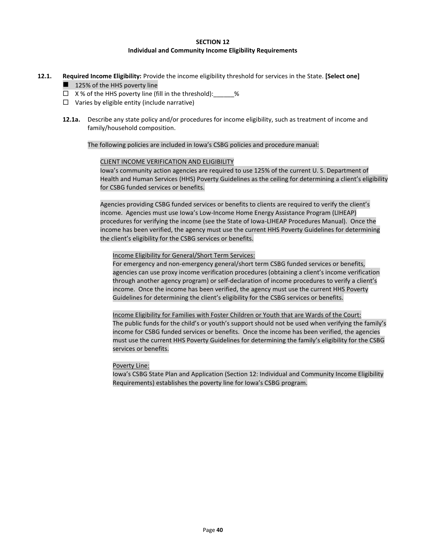## **SECTION 12 Individual and Community Income Eligibility Requirements**

- **12.1. Required Income Eligibility:** Provide the income eligibility threshold for services in the State. **[Select one]**
	- 125% of the HHS poverty line
	- $\Box$  X% of the HHS poverty line (fill in the threshold):  $\%$
	- $\Box$  Varies by eligible entity (include narrative)
	- **12.1a.** Describe any state policy and/or procedures for income eligibility, such as treatment of income and family/household composition.

The following policies are included in Iowa's CSBG policies and procedure manual:

#### CLIENT INCOME VERIFICATION AND ELIGIBILITY

Iowa's community action agencies are required to use 125% of the current U. S. Department of Health and Human Services (HHS) Poverty Guidelines as the ceiling for determining a client's eligibility for CSBG funded services or benefits.

Agencies providing CSBG funded services or benefits to clients are required to verify the client's income. Agencies must use Iowa's Low-Income Home Energy Assistance Program (LIHEAP) procedures for verifying the income (see the State of Iowa-LIHEAP Procedures Manual). Once the income has been verified, the agency must use the current HHS Poverty Guidelines for determining the client's eligibility for the CSBG services or benefits.

Income Eligibility for General/Short Term Services:

For emergency and non-emergency general/short term CSBG funded services or benefits, agencies can use proxy income verification procedures (obtaining a client's income verification through another agency program) or self-declaration of income procedures to verify a client's income. Once the income has been verified, the agency must use the current HHS Poverty Guidelines for determining the client's eligibility for the CSBG services or benefits.

Income Eligibility for Families with Foster Children or Youth that are Wards of the Court: The public funds for the child's or youth's support should not be used when verifying the family's income for CSBG funded services or benefits. Once the income has been verified, the agencies must use the current HHS Poverty Guidelines for determining the family's eligibility for the CSBG services or benefits.

#### Poverty Line:

Iowa's CSBG State Plan and Application (Section 12: Individual and Community Income Eligibility Requirements) establishes the poverty line for Iowa's CSBG program.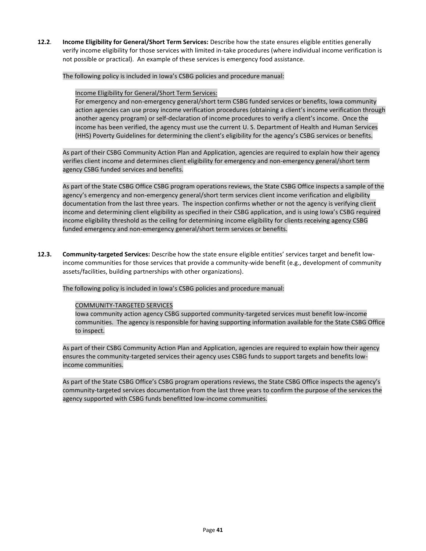**12.2**. **Income Eligibility for General/Short Term Services:** Describe how the state ensures eligible entities generally verify income eligibility for those services with limited in-take procedures (where individual income verification is not possible or practical). An example of these services is emergency food assistance.

The following policy is included in Iowa's CSBG policies and procedure manual:

#### Income Eligibility for General/Short Term Services:

For emergency and non-emergency general/short term CSBG funded services or benefits, Iowa community action agencies can use proxy income verification procedures (obtaining a client's income verification through another agency program) or self-declaration of income procedures to verify a client's income. Once the income has been verified, the agency must use the current U. S. Department of Health and Human Services (HHS) Poverty Guidelines for determining the client's eligibility for the agency's CSBG services or benefits.

As part of their CSBG Community Action Plan and Application, agencies are required to explain how their agency verifies client income and determines client eligibility for emergency and non-emergency general/short term agency CSBG funded services and benefits.

As part of the State CSBG Office CSBG program operations reviews, the State CSBG Office inspects a sample of the agency's emergency and non-emergency general/short term services client income verification and eligibility documentation from the last three years. The inspection confirms whether or not the agency is verifying client income and determining client eligibility as specified in their CSBG application, and is using Iowa's CSBG required income eligibility threshold as the ceiling for determining income eligibility for clients receiving agency CSBG funded emergency and non-emergency general/short term services or benefits.

**12.3. Community-targeted Services:** Describe how the state ensure eligible entities' services target and benefit lowincome communities for those services that provide a community-wide benefit (e.g., development of community assets/facilities, building partnerships with other organizations).

The following policy is included in Iowa's CSBG policies and procedure manual:

## COMMUNITY-TARGETED SERVICES

Iowa community action agency CSBG supported community-targeted services must benefit low-income communities. The agency is responsible for having supporting information available for the State CSBG Office to inspect.

As part of their CSBG Community Action Plan and Application, agencies are required to explain how their agency ensures the community-targeted services their agency uses CSBG funds to support targets and benefits lowincome communities.

As part of the State CSBG Office's CSBG program operations reviews, the State CSBG Office inspects the agency's community-targeted services documentation from the last three years to confirm the purpose of the services the agency supported with CSBG funds benefitted low-income communities.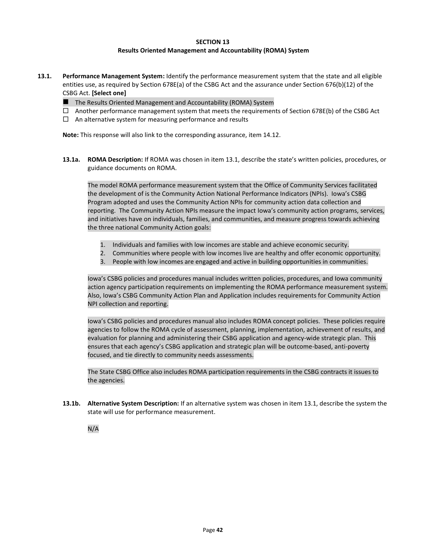#### **SECTION 13**

#### **Results Oriented Management and Accountability (ROMA) System**

- **13.1. Performance Management System:** Identify the performance measurement system that the state and all eligible entities use, as required by Section 678E(a) of the CSBG Act and the assurance under Section 676(b)(12) of the CSBG Act. **[Select one]**
	- The Results Oriented Management and Accountability (ROMA) System
	- $\Box$  Another performance management system that meets the requirements of Section 678E(b) of the CSBG Act
	- $\Box$  An alternative system for measuring performance and results

**Note:** This response will also link to the corresponding assurance, item 14.12.

**13.1a. ROMA Description:** If ROMA was chosen in item 13.1, describe the state's written policies, procedures, or guidance documents on ROMA.

The model ROMA performance measurement system that the Office of Community Services facilitated the development of is the Community Action National Performance Indicators (NPIs). Iowa's CSBG Program adopted and uses the Community Action NPIs for community action data collection and reporting. The Community Action NPIs measure the impact Iowa's community action programs, services, and initiatives have on individuals, families, and communities, and measure progress towards achieving the three national Community Action goals:

- 1. Individuals and families with low incomes are stable and achieve economic security.
- 2. Communities where people with low incomes live are healthy and offer economic opportunity.
- 3. People with low incomes are engaged and active in building opportunities in communities.

Iowa's CSBG policies and procedures manual includes written policies, procedures, and Iowa community action agency participation requirements on implementing the ROMA performance measurement system. Also, Iowa's CSBG Community Action Plan and Application includes requirements for Community Action NPI collection and reporting.

Iowa's CSBG policies and procedures manual also includes ROMA concept policies. These policies require agencies to follow the ROMA cycle of assessment, planning, implementation, achievement of results, and evaluation for planning and administering their CSBG application and agency-wide strategic plan. This ensures that each agency's CSBG application and strategic plan will be outcome-based, anti-poverty focused, and tie directly to community needs assessments.

The State CSBG Office also includes ROMA participation requirements in the CSBG contracts it issues to the agencies.

**13.1b. Alternative System Description:** If an alternative system was chosen in item 13.1, describe the system the state will use for performance measurement.

N/A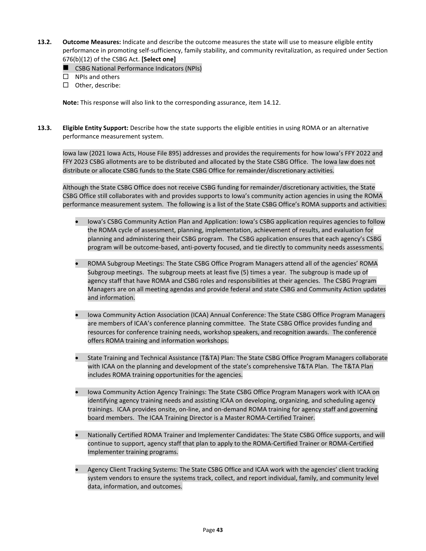- **13.2. Outcome Measures:** Indicate and describe the outcome measures the state will use to measure eligible entity performance in promoting self-sufficiency, family stability, and community revitalization, as required under Section 676(b)(12) of the CSBG Act. **[Select one]**
	- CSBG National Performance Indicators (NPIs)
	- $\square$  NPIs and others
	- $\square$  Other, describe:

**Note:** This response will also link to the corresponding assurance, item 14.12.

**13.3. Eligible Entity Support:** Describe how the state supports the eligible entities in using ROMA or an alternative performance measurement system.

Iowa law (2021 Iowa Acts, House File 895) addresses and provides the requirements for how Iowa's FFY 2022 and FFY 2023 CSBG allotments are to be distributed and allocated by the State CSBG Office. The Iowa law does not distribute or allocate CSBG funds to the State CSBG Office for remainder/discretionary activities.

Although the State CSBG Office does not receive CSBG funding for remainder/discretionary activities, the State CSBG Office still collaborates with and provides supports to Iowa's community action agencies in using the ROMA performance measurement system. The following is a list of the State CSBG Office's ROMA supports and activities:

- Iowa's CSBG Community Action Plan and Application: Iowa's CSBG application requires agencies to follow the ROMA cycle of assessment, planning, implementation, achievement of results, and evaluation for planning and administering their CSBG program. The CSBG application ensures that each agency's CSBG program will be outcome-based, anti-poverty focused, and tie directly to community needs assessments.
- ROMA Subgroup Meetings: The State CSBG Office Program Managers attend all of the agencies' ROMA Subgroup meetings. The subgroup meets at least five (5) times a year. The subgroup is made up of agency staff that have ROMA and CSBG roles and responsibilities at their agencies. The CSBG Program Managers are on all meeting agendas and provide federal and state CSBG and Community Action updates and information.
- Iowa Community Action Association (ICAA) Annual Conference: The State CSBG Office Program Managers are members of ICAA's conference planning committee. The State CSBG Office provides funding and resources for conference training needs, workshop speakers, and recognition awards. The conference offers ROMA training and information workshops.
- State Training and Technical Assistance (T&TA) Plan: The State CSBG Office Program Managers collaborate with ICAA on the planning and development of the state's comprehensive T&TA Plan. The T&TA Plan includes ROMA training opportunities for the agencies.
- Iowa Community Action Agency Trainings: The State CSBG Office Program Managers work with ICAA on identifying agency training needs and assisting ICAA on developing, organizing, and scheduling agency trainings. ICAA provides onsite, on-line, and on-demand ROMA training for agency staff and governing board members. The ICAA Training Director is a Master ROMA-Certified Trainer.
- Nationally Certified ROMA Trainer and Implementer Candidates: The State CSBG Office supports, and will continue to support, agency staff that plan to apply to the ROMA-Certified Trainer or ROMA-Certified Implementer training programs.
- Agency Client Tracking Systems: The State CSBG Office and ICAA work with the agencies' client tracking system vendors to ensure the systems track, collect, and report individual, family, and community level data, information, and outcomes.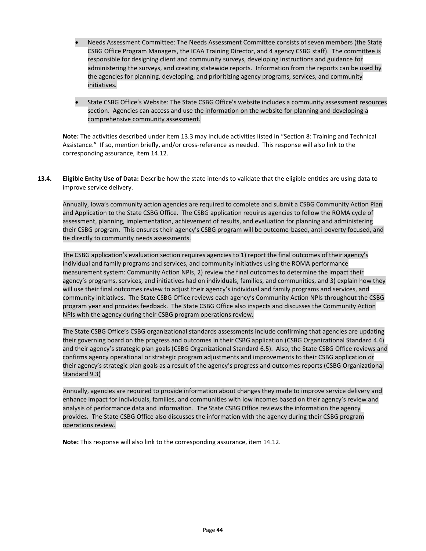- Needs Assessment Committee: The Needs Assessment Committee consists of seven members (the State CSBG Office Program Managers, the ICAA Training Director, and 4 agency CSBG staff). The committee is responsible for designing client and community surveys, developing instructions and guidance for administering the surveys, and creating statewide reports. Information from the reports can be used by the agencies for planning, developing, and prioritizing agency programs, services, and community initiatives.
- State CSBG Office's Website: The State CSBG Office's website includes a community assessment resources section. Agencies can access and use the information on the website for planning and developing a comprehensive community assessment.

**Note:** The activities described under item 13.3 may include activities listed in "Section 8: Training and Technical Assistance." If so, mention briefly, and/or cross-reference as needed. This response will also link to the corresponding assurance, item 14.12.

**13.4. Eligible Entity Use of Data:** Describe how the state intends to validate that the eligible entities are using data to improve service delivery.

Annually, Iowa's community action agencies are required to complete and submit a CSBG Community Action Plan and Application to the State CSBG Office. The CSBG application requires agencies to follow the ROMA cycle of assessment, planning, implementation, achievement of results, and evaluation for planning and administering their CSBG program. This ensures their agency's CSBG program will be outcome-based, anti-poverty focused, and tie directly to community needs assessments.

The CSBG application's evaluation section requires agencies to 1) report the final outcomes of their agency's individual and family programs and services, and community initiatives using the ROMA performance measurement system: Community Action NPIs, 2) review the final outcomes to determine the impact their agency's programs, services, and initiatives had on individuals, families, and communities, and 3) explain how they will use their final outcomes review to adjust their agency's individual and family programs and services, and community initiatives. The State CSBG Office reviews each agency's Community Action NPIs throughout the CSBG program year and provides feedback. The State CSBG Office also inspects and discusses the Community Action NPIs with the agency during their CSBG program operations review.

The State CSBG Office's CSBG organizational standards assessments include confirming that agencies are updating their governing board on the progress and outcomes in their CSBG application (CSBG Organizational Standard 4.4) and their agency's strategic plan goals (CSBG Organizational Standard 6.5). Also, the State CSBG Office reviews and confirms agency operational or strategic program adjustments and improvements to their CSBG application or their agency's strategic plan goals as a result of the agency's progress and outcomes reports (CSBG Organizational Standard 9.3)

Annually, agencies are required to provide information about changes they made to improve service delivery and enhance impact for individuals, families, and communities with low incomes based on their agency's review and analysis of performance data and information. The State CSBG Office reviews the information the agency provides. The State CSBG Office also discusses the information with the agency during their CSBG program operations review.

**Note:** This response will also link to the corresponding assurance, item 14.12.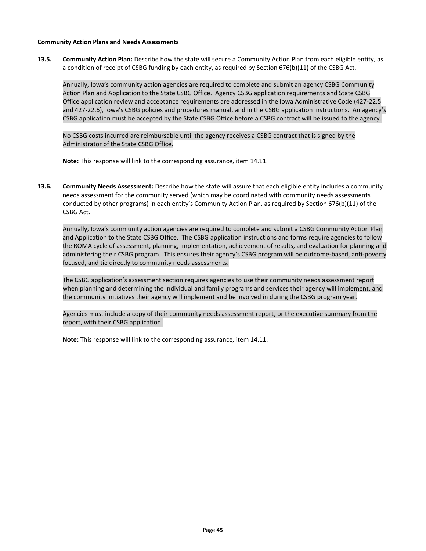#### **Community Action Plans and Needs Assessments**

**13.5. Community Action Plan:** Describe how the state will secure a Community Action Plan from each eligible entity, as a condition of receipt of CSBG funding by each entity, as required by Section 676(b)(11) of the CSBG Act.

Annually, Iowa's community action agencies are required to complete and submit an agency CSBG Community Action Plan and Application to the State CSBG Office. Agency CSBG application requirements and State CSBG Office application review and acceptance requirements are addressed in the Iowa Administrative Code (427-22.5 and 427-22.6), Iowa's CSBG policies and procedures manual, and in the CSBG application instructions. An agency's CSBG application must be accepted by the State CSBG Office before a CSBG contract will be issued to the agency.

No CSBG costs incurred are reimbursable until the agency receives a CSBG contract that is signed by the Administrator of the State CSBG Office.

**Note:** This response will link to the corresponding assurance, item 14.11.

**13.6. Community Needs Assessment:** Describe how the state will assure that each eligible entity includes a community needs assessment for the community served (which may be coordinated with community needs assessments conducted by other programs) in each entity's Community Action Plan, as required by Section 676(b)(11) of the CSBG Act.

Annually, Iowa's community action agencies are required to complete and submit a CSBG Community Action Plan and Application to the State CSBG Office. The CSBG application instructions and forms require agencies to follow the ROMA cycle of assessment, planning, implementation, achievement of results, and evaluation for planning and administering their CSBG program. This ensures their agency's CSBG program will be outcome-based, anti-poverty focused, and tie directly to community needs assessments.

The CSBG application's assessment section requires agencies to use their community needs assessment report when planning and determining the individual and family programs and services their agency will implement, and the community initiatives their agency will implement and be involved in during the CSBG program year.

Agencies must include a copy of their community needs assessment report, or the executive summary from the report, with their CSBG application.

**Note:** This response will link to the corresponding assurance, item 14.11.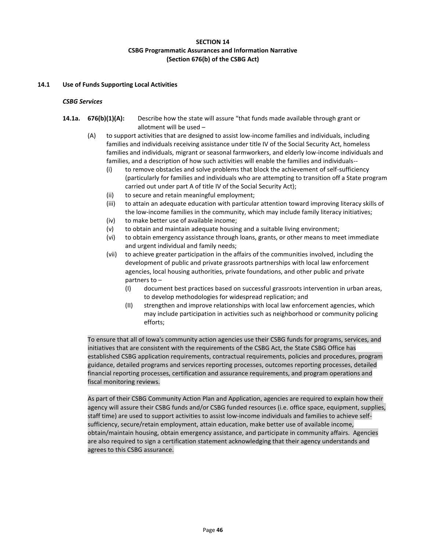## **SECTION 14 CSBG Programmatic Assurances and Information Narrative (Section 676(b) of the CSBG Act)**

## **14.1 Use of Funds Supporting Local Activities**

## *CSBG Services*

- **14.1a. 676(b)(1)(A):** Describe how the state will assure "that funds made available through grant or allotment will be used –
	- (A) to support activities that are designed to assist low-income families and individuals, including families and individuals receiving assistance under title IV of the Social Security Act, homeless families and individuals, migrant or seasonal farmworkers, and elderly low-income individuals and families, and a description of how such activities will enable the families and individuals--
		- (i) to remove obstacles and solve problems that block the achievement of self-sufficiency (particularly for families and individuals who are attempting to transition off a State program carried out under part A of title IV of the Social Security Act);
		- (ii) to secure and retain meaningful employment;
		- (iii) to attain an adequate education with particular attention toward improving literacy skills of the low-income families in the community, which may include family literacy initiatives;
		- (iv) to make better use of available income;
		- (v) to obtain and maintain adequate housing and a suitable living environment;
		- (vi) to obtain emergency assistance through loans, grants, or other means to meet immediate and urgent individual and family needs;
		- (vii) to achieve greater participation in the affairs of the communities involved, including the development of public and private grassroots partnerships with local law enforcement agencies, local housing authorities, private foundations, and other public and private partners to –
			- (I) document best practices based on successful grassroots intervention in urban areas, to develop methodologies for widespread replication; and
			- (II) strengthen and improve relationships with local law enforcement agencies, which may include participation in activities such as neighborhood or community policing efforts;

To ensure that all of Iowa's community action agencies use their CSBG funds for programs, services, and initiatives that are consistent with the requirements of the CSBG Act, the State CSBG Office has established CSBG application requirements, contractual requirements, policies and procedures, program guidance, detailed programs and services reporting processes, outcomes reporting processes, detailed financial reporting processes, certification and assurance requirements, and program operations and fiscal monitoring reviews.

As part of their CSBG Community Action Plan and Application, agencies are required to explain how their agency will assure their CSBG funds and/or CSBG funded resources (i.e. office space, equipment, supplies, staff time) are used to support activities to assist low-income individuals and families to achieve selfsufficiency, secure/retain employment, attain education, make better use of available income, obtain/maintain housing, obtain emergency assistance, and participate in community affairs. Agencies are also required to sign a certification statement acknowledging that their agency understands and agrees to this CSBG assurance.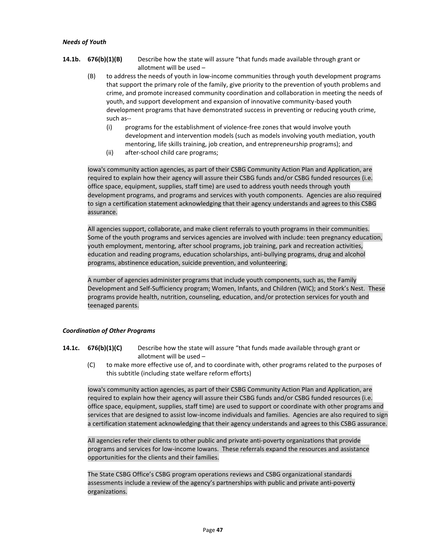#### *Needs of Youth*

- **14.1b. 676(b)(1)(B)** Describe how the state will assure "that funds made available through grant or allotment will be used –
	- (B) to address the needs of youth in low-income communities through youth development programs that support the primary role of the family, give priority to the prevention of youth problems and crime, and promote increased community coordination and collaboration in meeting the needs of youth, and support development and expansion of innovative community-based youth development programs that have demonstrated success in preventing or reducing youth crime, such as--
		- (i) programs for the establishment of violence-free zones that would involve youth development and intervention models (such as models involving youth mediation, youth mentoring, life skills training, job creation, and entrepreneurship programs); and
		- (ii) after-school child care programs;

Iowa's community action agencies, as part of their CSBG Community Action Plan and Application, are required to explain how their agency will assure their CSBG funds and/or CSBG funded resources (i.e. office space, equipment, supplies, staff time) are used to address youth needs through youth development programs, and programs and services with youth components. Agencies are also required to sign a certification statement acknowledging that their agency understands and agrees to this CSBG assurance.

All agencies support, collaborate, and make client referrals to youth programs in their communities. Some of the youth programs and services agencies are involved with include: teen pregnancy education, youth employment, mentoring, after school programs, job training, park and recreation activities, education and reading programs, education scholarships, anti-bullying programs, drug and alcohol programs, abstinence education, suicide prevention, and volunteering.

A number of agencies administer programs that include youth components, such as, the Family Development and Self-Sufficiency program; Women, Infants, and Children (WIC); and Stork's Nest. These programs provide health, nutrition, counseling, education, and/or protection services for youth and teenaged parents.

## *Coordination of Other Programs*

- **14.1c. 676(b)(1)(C)** Describe how the state will assure "that funds made available through grant or allotment will be used –
	- (C) to make more effective use of, and to coordinate with, other programs related to the purposes of this subtitle (including state welfare reform efforts)

Iowa's community action agencies, as part of their CSBG Community Action Plan and Application, are required to explain how their agency will assure their CSBG funds and/or CSBG funded resources (i.e. office space, equipment, supplies, staff time) are used to support or coordinate with other programs and services that are designed to assist low-income individuals and families. Agencies are also required to sign a certification statement acknowledging that their agency understands and agrees to this CSBG assurance.

All agencies refer their clients to other public and private anti-poverty organizations that provide programs and services for low-income Iowans. These referrals expand the resources and assistance opportunities for the clients and their families.

The State CSBG Office's CSBG program operations reviews and CSBG organizational standards assessments include a review of the agency's partnerships with public and private anti-poverty organizations.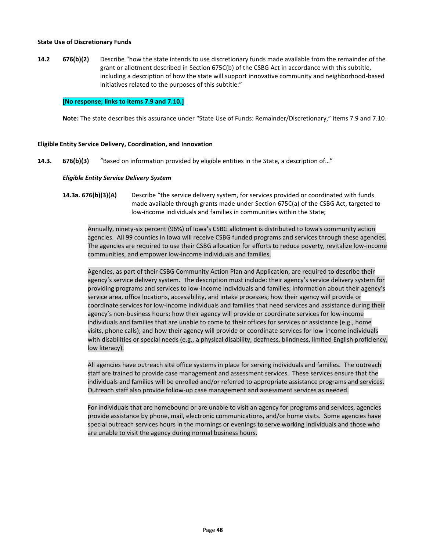#### **State Use of Discretionary Funds**

**14.2 676(b)(2)** Describe "how the state intends to use discretionary funds made available from the remainder of the grant or allotment described in Section 675C(b) of the CSBG Act in accordance with this subtitle, including a description of how the state will support innovative community and neighborhood-based initiatives related to the purposes of this subtitle."

## **[No response; links to items 7.9 and 7.10.]**

**Note:** The state describes this assurance under "State Use of Funds: Remainder/Discretionary," items 7.9 and 7.10.

#### **Eligible Entity Service Delivery, Coordination, and Innovation**

**14.3. 676(b)(3)** "Based on information provided by eligible entities in the State, a description of…"

#### *Eligible Entity Service Delivery System*

**14.3a. 676(b)(3)(A)** Describe "the service delivery system, for services provided or coordinated with funds made available through grants made under Section 675C(a) of the CSBG Act, targeted to low-income individuals and families in communities within the State;

Annually, ninety-six percent (96%) of Iowa's CSBG allotment is distributed to Iowa's community action agencies. All 99 counties in Iowa will receive CSBG funded programs and services through these agencies. The agencies are required to use their CSBG allocation for efforts to reduce poverty, revitalize low-income communities, and empower low-income individuals and families.

Agencies, as part of their CSBG Community Action Plan and Application, are required to describe their agency's service delivery system. The description must include: their agency's service delivery system for providing programs and services to low-income individuals and families; information about their agency's service area, office locations, accessibility, and intake processes; how their agency will provide or coordinate services for low-income individuals and families that need services and assistance during their agency's non-business hours; how their agency will provide or coordinate services for low-income individuals and families that are unable to come to their offices for services or assistance (e.g., home visits, phone calls); and how their agency will provide or coordinate services for low-income individuals with disabilities or special needs (e.g., a physical disability, deafness, blindness, limited English proficiency, low literacy).

All agencies have outreach site office systems in place for serving individuals and families. The outreach staff are trained to provide case management and assessment services. These services ensure that the individuals and families will be enrolled and/or referred to appropriate assistance programs and services. Outreach staff also provide follow-up case management and assessment services as needed.

For individuals that are homebound or are unable to visit an agency for programs and services, agencies provide assistance by phone, mail, electronic communications, and/or home visits. Some agencies have special outreach services hours in the mornings or evenings to serve working individuals and those who are unable to visit the agency during normal business hours.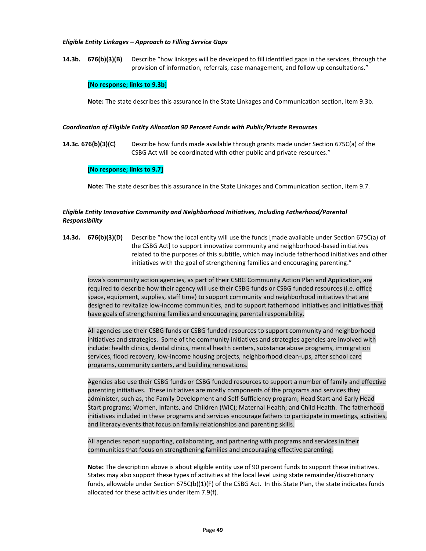#### *Eligible Entity Linkages – Approach to Filling Service Gaps*

**14.3b. 676(b)(3)(B)** Describe "how linkages will be developed to fill identified gaps in the services, through the provision of information, referrals, case management, and follow up consultations."

## **[No response; links to 9.3b]**

**Note:** The state describes this assurance in the State Linkages and Communication section, item 9.3b.

#### *Coordination of Eligible Entity Allocation 90 Percent Funds with Public/Private Resources*

**14.3c. 676(b)(3)(C)** Describe how funds made available through grants made under Section 675C(a) of the CSBG Act will be coordinated with other public and private resources."

#### **[No response; links to 9.7]**

**Note:** The state describes this assurance in the State Linkages and Communication section, item 9.7.

## *Eligible Entity Innovative Community and Neighborhood Initiatives, Including Fatherhood/Parental Responsibility*

**14.3d. 676(b)(3)(D)** Describe "how the local entity will use the funds [made available under Section 675C(a) of the CSBG Act] to support innovative community and neighborhood-based initiatives related to the purposes of this subtitle, which may include fatherhood initiatives and other initiatives with the goal of strengthening families and encouraging parenting."

Iowa's community action agencies, as part of their CSBG Community Action Plan and Application, are required to describe how their agency will use their CSBG funds or CSBG funded resources (i.e. office space, equipment, supplies, staff time) to support community and neighborhood initiatives that are designed to revitalize low-income communities, and to support fatherhood initiatives and initiatives that have goals of strengthening families and encouraging parental responsibility.

All agencies use their CSBG funds or CSBG funded resources to support community and neighborhood initiatives and strategies. Some of the community initiatives and strategies agencies are involved with include: health clinics, dental clinics, mental health centers, substance abuse programs, immigration services, flood recovery, low-income housing projects, neighborhood clean-ups, after school care programs, community centers, and building renovations.

Agencies also use their CSBG funds or CSBG funded resources to support a number of family and effective parenting initiatives. These initiatives are mostly components of the programs and services they administer, such as, the Family Development and Self-Sufficiency program; Head Start and Early Head Start programs; Women, Infants, and Children (WIC); Maternal Health; and Child Health. The fatherhood initiatives included in these programs and services encourage fathers to participate in meetings, activities, and literacy events that focus on family relationships and parenting skills.

All agencies report supporting, collaborating, and partnering with programs and services in their communities that focus on strengthening families and encouraging effective parenting.

**Note:** The description above is about eligible entity use of 90 percent funds to support these initiatives. States may also support these types of activities at the local level using state remainder/discretionary funds, allowable under Section 675C(b)(1)(F) of the CSBG Act. In this State Plan, the state indicates funds allocated for these activities under item 7.9(f).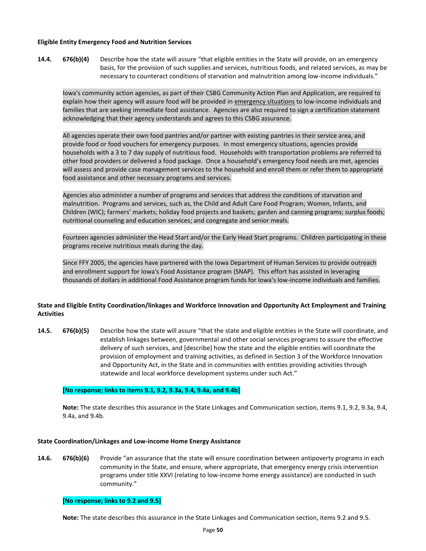#### **Eligible Entity Emergency Food and Nutrition Services**

**14.4. 676(b)(4)** Describe how the state will assure "that eligible entities in the State will provide, on an emergency basis, for the provision of such supplies and services, nutritious foods, and related services, as may be necessary to counteract conditions of starvation and malnutrition among low-income individuals."

Iowa's community action agencies, as part of their CSBG Community Action Plan and Application, are required to explain how their agency will assure food will be provided in emergency situations to low-income individuals and families that are seeking immediate food assistance. Agencies are also required to sign a certification statement acknowledging that their agency understands and agrees to this CSBG assurance.

All agencies operate their own food pantries and/or partner with existing pantries in their service area, and provide food or food vouchers for emergency purposes. In most emergency situations, agencies provide households with a 3 to 7 day supply of nutritious food. Households with transportation problems are referred to other food providers or delivered a food package. Once a household's emergency food needs are met, agencies will assess and provide case management services to the household and enroll them or refer them to appropriate food assistance and other necessary programs and services.

Agencies also administer a number of programs and services that address the conditions of starvation and malnutrition. Programs and services, such as, the Child and Adult Care Food Program; Women, Infants, and Children (WIC); farmers' markets; holiday food projects and baskets; garden and canning programs; surplus foods; nutritional counseling and education services; and congregate and senior meals.

Fourteen agencies administer the Head Start and/or the Early Head Start programs. Children participating in these programs receive nutritious meals during the day.

Since FFY 2005, the agencies have partnered with the Iowa Department of Human Services to provide outreach and enrollment support for Iowa's Food Assistance program (SNAP). This effort has assisted in leveraging thousands of dollars in additional Food Assistance program funds for Iowa's low-income individuals and families.

## **State and Eligible Entity Coordination/linkages and Workforce Innovation and Opportunity Act Employment and Training Activities**

**14.5. 676(b)(5)** Describe how the state will assure "that the state and eligible entities in the State will coordinate, and establish linkages between, governmental and other social services programs to assure the effective delivery of such services, and [describe] how the state and the eligible entities will coordinate the provision of employment and training activities, as defined in Section 3 of the Workforce Innovation and Opportunity Act, in the State and in communities with entities providing activities through statewide and local workforce development systems under such Act."

## **[No response; links to items 9.1, 9.2, 9.3a, 9.4, 9.4a, and 9.4b]**

**Note:** The state describes this assurance in the State Linkages and Communication section, items 9.1, 9.2, 9.3a, 9.4, 9.4a, and 9.4b.

#### **State Coordination/Linkages and Low-income Home Energy Assistance**

**14.6. 676(b)(6)** Provide "an assurance that the state will ensure coordination between antipoverty programs in each community in the State, and ensure, where appropriate, that emergency energy crisis intervention programs under title XXVI (relating to low-income home energy assistance) are conducted in such community."

#### **[No response; links to 9.2 and 9.5]**

**Note:** The state describes this assurance in the State Linkages and Communication section, items 9.2 and 9.5.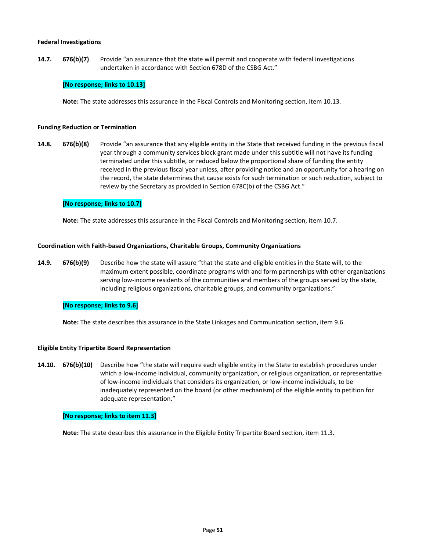#### **Federal Investigations**

**14.7. 676(b)(7)** Provide "an assurance that the **s**tate will permit and cooperate with federal investigations undertaken in accordance with Section 678D of the CSBG Act."

## **[No response; links to 10.13]**

**Note:** The state addresses this assurance in the Fiscal Controls and Monitoring section, item 10.13.

#### **Funding Reduction or Termination**

**14.8. 676(b)(8)** Provide "an assurance that any eligible entity in the State that received funding in the previous fiscal year through a community services block grant made under this subtitle will not have its funding terminated under this subtitle, or reduced below the proportional share of funding the entity received in the previous fiscal year unless, after providing notice and an opportunity for a hearing on the record, the state determines that cause exists for such termination or such reduction, subject to review by the Secretary as provided in Section 678C(b) of the CSBG Act."

#### **[No response; links to 10.7]**

**Note:** The state addresses this assurance in the Fiscal Controls and Monitoring section, item 10.7.

#### **Coordination with Faith-based Organizations, Charitable Groups, Community Organizations**

**14.9. 676(b)(9)** Describe how the state will assure "that the state and eligible entities in the State will, to the maximum extent possible, coordinate programs with and form partnerships with other organizations serving low-income residents of the communities and members of the groups served by the state, including religious organizations, charitable groups, and community organizations."

#### **[No response; links to 9.6]**

**Note:** The state describes this assurance in the State Linkages and Communication section, item 9.6.

#### **Eligible Entity Tripartite Board Representation**

**14.10. 676(b)(10)** Describe how "the state will require each eligible entity in the State to establish procedures under which a low-income individual, community organization, or religious organization, or representative of low-income individuals that considers its organization, or low-income individuals, to be inadequately represented on the board (or other mechanism) of the eligible entity to petition for adequate representation."

#### **[No response; links to item 11.3]**

**Note:** The state describes this assurance in the Eligible Entity Tripartite Board section, item 11.3.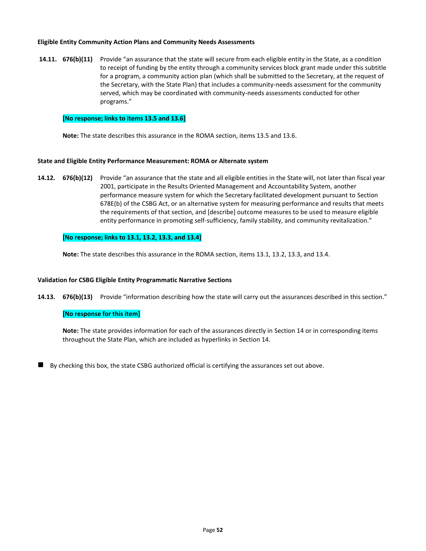## **Eligible Entity Community Action Plans and Community Needs Assessments**

**14.11. 676(b)(11)** Provide "an assurance that the state will secure from each eligible entity in the State, as a condition to receipt of funding by the entity through a community services block grant made under this subtitle for a program, a community action plan (which shall be submitted to the Secretary, at the request of the Secretary, with the State Plan) that includes a community-needs assessment for the community served, which may be coordinated with community-needs assessments conducted for other programs."

## **[No response; links to items 13.5 and 13.6]**

**Note:** The state describes this assurance in the ROMA section, items 13.5 and 13.6.

## **State and Eligible Entity Performance Measurement: ROMA or Alternate system**

**14.12. 676(b)(12)** Provide "an assurance that the state and all eligible entities in the State will, not later than fiscal year 2001, participate in the Results Oriented Management and Accountability System, another performance measure system for which the Secretary facilitated development pursuant to Section 678E(b) of the CSBG Act, or an alternative system for measuring performance and results that meets the requirements of that section, and [describe] outcome measures to be used to measure eligible entity performance in promoting self-sufficiency, family stability, and community revitalization."

## **[No response; links to 13.1, 13.2, 13.3, and 13.4]**

**Note:** The state describes this assurance in the ROMA section, items 13.1, 13.2, 13.3, and 13.4.

## **Validation for CSBG Eligible Entity Programmatic Narrative Sections**

**14.13. 676(b)(13)** Provide "information describing how the state will carry out the assurances described in this section."

## **[No response for this item]**

**Note:** The state provides information for each of the assurances directly in Section 14 or in corresponding items throughout the State Plan, which are included as hyperlinks in Section 14.

By checking this box, the state CSBG authorized official is certifying the assurances set out above.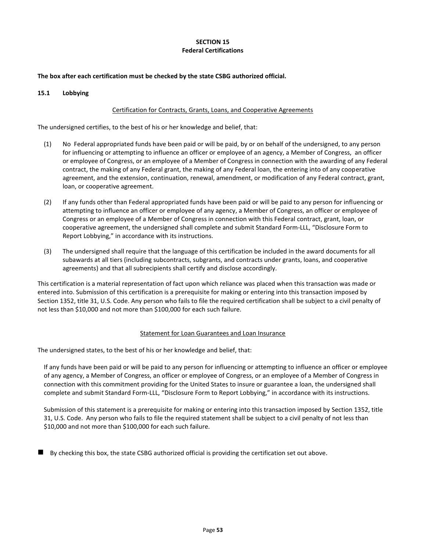## **SECTION 15 Federal Certifications**

## **The box after each certification must be checked by the state CSBG authorized official.**

## **15.1 Lobbying**

## Certification for Contracts, Grants, Loans, and Cooperative Agreements

The undersigned certifies, to the best of his or her knowledge and belief, that:

- (1) No Federal appropriated funds have been paid or will be paid, by or on behalf of the undersigned, to any person for influencing or attempting to influence an officer or employee of an agency, a Member of Congress, an officer or employee of Congress, or an employee of a Member of Congress in connection with the awarding of any Federal contract, the making of any Federal grant, the making of any Federal loan, the entering into of any cooperative agreement, and the extension, continuation, renewal, amendment, or modification of any Federal contract, grant, loan, or cooperative agreement.
- (2) If any funds other than Federal appropriated funds have been paid or will be paid to any person for influencing or attempting to influence an officer or employee of any agency, a Member of Congress, an officer or employee of Congress or an employee of a Member of Congress in connection with this Federal contract, grant, loan, or cooperative agreement, the undersigned shall complete and submit Standard Form-LLL, "Disclosure Form to Report Lobbying," in accordance with its instructions.
- (3) The undersigned shall require that the language of this certification be included in the award documents for all subawards at all tiers (including subcontracts, subgrants, and contracts under grants, loans, and cooperative agreements) and that all subrecipients shall certify and disclose accordingly.

This certification is a material representation of fact upon which reliance was placed when this transaction was made or entered into. Submission of this certification is a prerequisite for making or entering into this transaction imposed by Section 1352, title 31, U.S. Code. Any person who fails to file the required certification shall be subject to a civil penalty of not less than \$10,000 and not more than \$100,000 for each such failure.

#### Statement for Loan Guarantees and Loan Insurance

The undersigned states, to the best of his or her knowledge and belief, that:

If any funds have been paid or will be paid to any person for influencing or attempting to influence an officer or employee of any agency, a Member of Congress, an officer or employee of Congress, or an employee of a Member of Congress in connection with this commitment providing for the United States to insure or guarantee a loan, the undersigned shall complete and submit Standard Form-LLL, "Disclosure Form to Report Lobbying," in accordance with its instructions.

Submission of this statement is a prerequisite for making or entering into this transaction imposed by Section 1352, title 31, U.S. Code. Any person who fails to file the required statement shall be subject to a civil penalty of not less than \$10,000 and not more than \$100,000 for each such failure.

◼ By checking this box, the state CSBG authorized official is providing the certification set out above.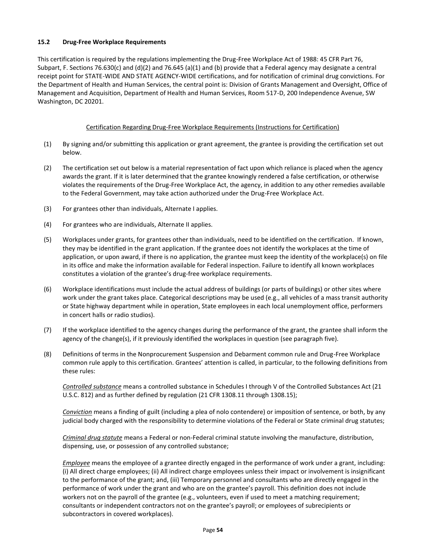## **15.2 Drug-Free Workplace Requirements**

This certification is required by the regulations implementing the Drug-Free Workplace Act of 1988: 45 CFR Part 76, Subpart, F. Sections 76.630(c) and (d)(2) and 76.645 (a)(1) and (b) provide that a Federal agency may designate a central receipt point for STATE-WIDE AND STATE AGENCY-WIDE certifications, and for notification of criminal drug convictions. For the Department of Health and Human Services, the central point is: Division of Grants Management and Oversight, Office of Management and Acquisition, Department of Health and Human Services, Room 517-D, 200 Independence Avenue, SW Washington, DC 20201.

## Certification Regarding Drug-Free Workplace Requirements (Instructions for Certification)

- (1) By signing and/or submitting this application or grant agreement, the grantee is providing the certification set out below.
- (2) The certification set out below is a material representation of fact upon which reliance is placed when the agency awards the grant. If it is later determined that the grantee knowingly rendered a false certification, or otherwise violates the requirements of the Drug-Free Workplace Act, the agency, in addition to any other remedies available to the Federal Government, may take action authorized under the Drug-Free Workplace Act.
- (3) For grantees other than individuals, Alternate I applies.
- (4) For grantees who are individuals, Alternate II applies.
- (5) Workplaces under grants, for grantees other than individuals, need to be identified on the certification. If known, they may be identified in the grant application. If the grantee does not identify the workplaces at the time of application, or upon award, if there is no application, the grantee must keep the identity of the workplace(s) on file in its office and make the information available for Federal inspection. Failure to identify all known workplaces constitutes a violation of the grantee's drug-free workplace requirements.
- (6) Workplace identifications must include the actual address of buildings (or parts of buildings) or other sites where work under the grant takes place. Categorical descriptions may be used (e.g., all vehicles of a mass transit authority or State highway department while in operation, State employees in each local unemployment office, performers in concert halls or radio studios).
- (7) If the workplace identified to the agency changes during the performance of the grant, the grantee shall inform the agency of the change(s), if it previously identified the workplaces in question (see paragraph five).
- (8) Definitions of terms in the Nonprocurement Suspension and Debarment common rule and Drug-Free Workplace common rule apply to this certification. Grantees' attention is called, in particular, to the following definitions from these rules:

*Controlled substance* means a controlled substance in Schedules I through V of the Controlled Substances Act (21 U.S.C. 812) and as further defined by regulation (21 CFR 1308.11 through 1308.15);

*Conviction* means a finding of guilt (including a plea of nolo contendere) or imposition of sentence, or both, by any judicial body charged with the responsibility to determine violations of the Federal or State criminal drug statutes;

*Criminal drug statute* means a Federal or non-Federal criminal statute involving the manufacture, distribution, dispensing, use, or possession of any controlled substance;

*Employee* means the employee of a grantee directly engaged in the performance of work under a grant, including: (i) All direct charge employees; (ii) All indirect charge employees unless their impact or involvement is insignificant to the performance of the grant; and, (iii) Temporary personnel and consultants who are directly engaged in the performance of work under the grant and who are on the grantee's payroll. This definition does not include workers not on the payroll of the grantee (e.g., volunteers, even if used to meet a matching requirement; consultants or independent contractors not on the grantee's payroll; or employees of subrecipients or subcontractors in covered workplaces).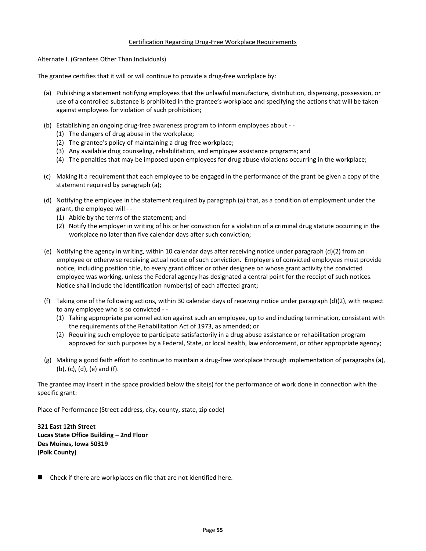## Certification Regarding Drug-Free Workplace Requirements

Alternate I. (Grantees Other Than Individuals)

The grantee certifies that it will or will continue to provide a drug-free workplace by:

- (a) Publishing a statement notifying employees that the unlawful manufacture, distribution, dispensing, possession, or use of a controlled substance is prohibited in the grantee's workplace and specifying the actions that will be taken against employees for violation of such prohibition;
- (b) Establishing an ongoing drug-free awareness program to inform employees about -
	- (1) The dangers of drug abuse in the workplace;
	- (2) The grantee's policy of maintaining a drug-free workplace;
	- (3) Any available drug counseling, rehabilitation, and employee assistance programs; and
	- (4) The penalties that may be imposed upon employees for drug abuse violations occurring in the workplace;
- (c) Making it a requirement that each employee to be engaged in the performance of the grant be given a copy of the statement required by paragraph (a);
- (d) Notifying the employee in the statement required by paragraph (a) that, as a condition of employment under the grant, the employee will - -
	- (1) Abide by the terms of the statement; and
	- (2) Notify the employer in writing of his or her conviction for a violation of a criminal drug statute occurring in the workplace no later than five calendar days after such conviction;
- (e) Notifying the agency in writing, within 10 calendar days after receiving notice under paragraph (d)(2) from an employee or otherwise receiving actual notice of such conviction. Employers of convicted employees must provide notice, including position title, to every grant officer or other designee on whose grant activity the convicted employee was working, unless the Federal agency has designated a central point for the receipt of such notices. Notice shall include the identification number(s) of each affected grant;
- (f) Taking one of the following actions, within 30 calendar days of receiving notice under paragraph (d)(2), with respect to any employee who is so convicted - -
	- (1) Taking appropriate personnel action against such an employee, up to and including termination, consistent with the requirements of the Rehabilitation Act of 1973, as amended; or
	- (2) Requiring such employee to participate satisfactorily in a drug abuse assistance or rehabilitation program approved for such purposes by a Federal, State, or local health, law enforcement, or other appropriate agency;
- (g) Making a good faith effort to continue to maintain a drug-free workplace through implementation of paragraphs (a), (b), (c), (d), (e) and (f).

The grantee may insert in the space provided below the site(s) for the performance of work done in connection with the specific grant:

Place of Performance (Street address, city, county, state, zip code)

**321 East 12th Street Lucas State Office Building – 2nd Floor Des Moines, Iowa 50319 (Polk County)**

Check if there are workplaces on file that are not identified here.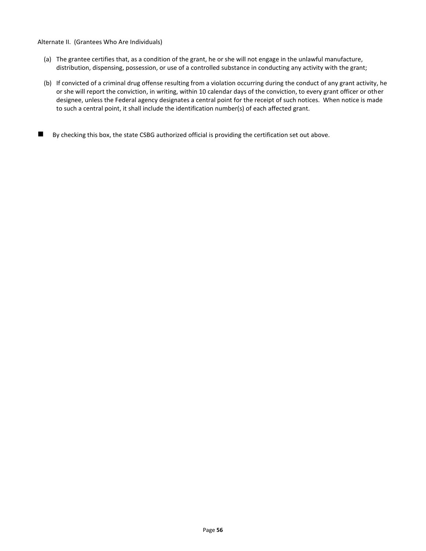#### Alternate II. (Grantees Who Are Individuals)

- (a) The grantee certifies that, as a condition of the grant, he or she will not engage in the unlawful manufacture, distribution, dispensing, possession, or use of a controlled substance in conducting any activity with the grant;
- (b) If convicted of a criminal drug offense resulting from a violation occurring during the conduct of any grant activity, he or she will report the conviction, in writing, within 10 calendar days of the conviction, to every grant officer or other designee, unless the Federal agency designates a central point for the receipt of such notices. When notice is made to such a central point, it shall include the identification number(s) of each affected grant.
- By checking this box, the state CSBG authorized official is providing the certification set out above.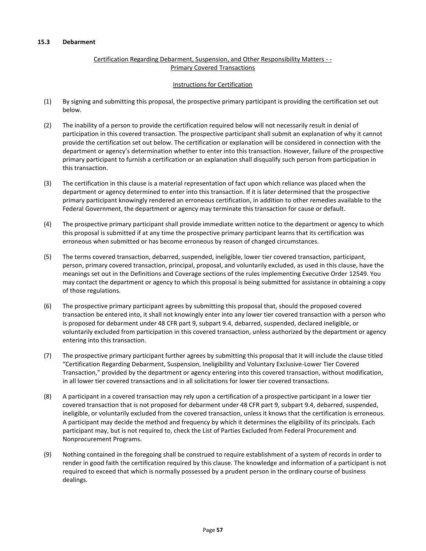## **15.3 Debarment**

## Certification Regarding Debarment, Suspension, and Other Responsibility Matters - - Primary Covered Transactions

## Instructions for Certification

- (1) By signing and submitting this proposal, the prospective primary participant is providing the certification set out below.
- (2) The inability of a person to provide the certification required below will not necessarily result in denial of participation in this covered transaction. The prospective participant shall submit an explanation of why it cannot provide the certification set out below. The certification or explanation will be considered in connection with the department or agency's determination whether to enter into this transaction. However, failure of the prospective primary participant to furnish a certification or an explanation shall disqualify such person from participation in this transaction.
- (3) The certification in this clause is a material representation of fact upon which reliance was placed when the department or agency determined to enter into this transaction. If it is later determined that the prospective primary participant knowingly rendered an erroneous certification, in addition to other remedies available to the Federal Government, the department or agency may terminate this transaction for cause or default.
- (4) The prospective primary participant shall provide immediate written notice to the department or agency to which this proposal is submitted if at any time the prospective primary participant learns that its certification was erroneous when submitted or has become erroneous by reason of changed circumstances.
- (5) The terms covered transaction, debarred, suspended, ineligible, lower tier covered transaction, participant, person, primary covered transaction, principal, proposal, and voluntarily excluded, as used in this clause, have the meanings set out in the Definitions and Coverage sections of the rules implementing Executive Order 12549. You may contact the department or agency to which this proposal is being submitted for assistance in obtaining a copy of those regulations.
- (6) The prospective primary participant agrees by submitting this proposal that, should the proposed covered transaction be entered into, it shall not knowingly enter into any lower tier covered transaction with a person who is proposed for debarment under 48 CFR part 9, subpart 9.4, debarred, suspended, declared ineligible, or voluntarily excluded from participation in this covered transaction, unless authorized by the department or agency entering into this transaction.
- (7) The prospective primary participant further agrees by submitting this proposal that it will include the clause titled "Certification Regarding Debarment, Suspension, Ineligibility and Voluntary Exclusive-Lower Tier Covered Transaction," provided by the department or agency entering into this covered transaction, without modification, in all lower tier covered transactions and in all solicitations for lower tier covered transactions.
- (8) A participant in a covered transaction may rely upon a certification of a prospective participant in a lower tier covered transaction that is not proposed for debarment under 48 CFR part 9, subpart 9.4, debarred, suspended, ineligible, or voluntarily excluded from the covered transaction, unless it knows that the certification is erroneous. A participant may decide the method and frequency by which it determines the eligibility of its principals. Each participant may, but is not required to, check the List of Parties Excluded from Federal Procurement and Nonprocurement Programs.
- (9) Nothing contained in the foregoing shall be construed to require establishment of a system of records in order to render in good faith the certification required by this clause. The knowledge and information of a participant is not required to exceed that which is normally possessed by a prudent person in the ordinary course of business dealings.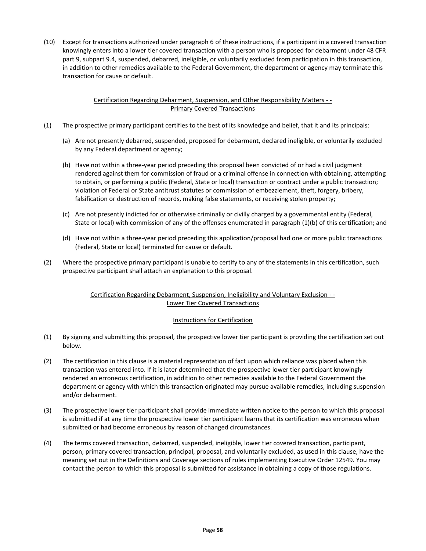(10) Except for transactions authorized under paragraph 6 of these instructions, if a participant in a covered transaction knowingly enters into a lower tier covered transaction with a person who is proposed for debarment under 48 CFR part 9, subpart 9.4, suspended, debarred, ineligible, or voluntarily excluded from participation in this transaction, in addition to other remedies available to the Federal Government, the department or agency may terminate this transaction for cause or default.

## Certification Regarding Debarment, Suspension, and Other Responsibility Matters - - Primary Covered Transactions

- (1) The prospective primary participant certifies to the best of its knowledge and belief, that it and its principals:
	- (a) Are not presently debarred, suspended, proposed for debarment, declared ineligible, or voluntarily excluded by any Federal department or agency;
	- (b) Have not within a three-year period preceding this proposal been convicted of or had a civil judgment rendered against them for commission of fraud or a criminal offense in connection with obtaining, attempting to obtain, or performing a public (Federal, State or local) transaction or contract under a public transaction; violation of Federal or State antitrust statutes or commission of embezzlement, theft, forgery, bribery, falsification or destruction of records, making false statements, or receiving stolen property;
	- (c) Are not presently indicted for or otherwise criminally or civilly charged by a governmental entity (Federal, State or local) with commission of any of the offenses enumerated in paragraph (1)(b) of this certification; and
	- (d) Have not within a three-year period preceding this application/proposal had one or more public transactions (Federal, State or local) terminated for cause or default.
- (2) Where the prospective primary participant is unable to certify to any of the statements in this certification, such prospective participant shall attach an explanation to this proposal.

## Certification Regarding Debarment, Suspension, Ineligibility and Voluntary Exclusion - - Lower Tier Covered Transactions

## Instructions for Certification

- (1) By signing and submitting this proposal, the prospective lower tier participant is providing the certification set out below.
- (2) The certification in this clause is a material representation of fact upon which reliance was placed when this transaction was entered into. If it is later determined that the prospective lower tier participant knowingly rendered an erroneous certification, in addition to other remedies available to the Federal Government the department or agency with which this transaction originated may pursue available remedies, including suspension and/or debarment.
- (3) The prospective lower tier participant shall provide immediate written notice to the person to which this proposal is submitted if at any time the prospective lower tier participant learns that its certification was erroneous when submitted or had become erroneous by reason of changed circumstances.
- (4) The terms covered transaction, debarred, suspended, ineligible, lower tier covered transaction, participant, person, primary covered transaction, principal, proposal, and voluntarily excluded, as used in this clause, have the meaning set out in the Definitions and Coverage sections of rules implementing Executive Order 12549. You may contact the person to which this proposal is submitted for assistance in obtaining a copy of those regulations.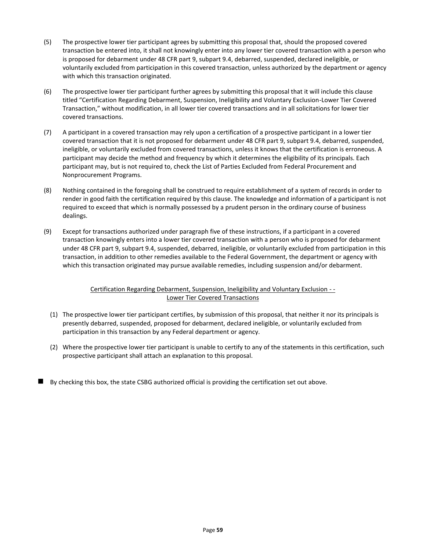- (5) The prospective lower tier participant agrees by submitting this proposal that, should the proposed covered transaction be entered into, it shall not knowingly enter into any lower tier covered transaction with a person who is proposed for debarment under 48 CFR part 9, subpart 9.4, debarred, suspended, declared ineligible, or voluntarily excluded from participation in this covered transaction, unless authorized by the department or agency with which this transaction originated.
- (6) The prospective lower tier participant further agrees by submitting this proposal that it will include this clause titled "Certification Regarding Debarment, Suspension, Ineligibility and Voluntary Exclusion-Lower Tier Covered Transaction," without modification, in all lower tier covered transactions and in all solicitations for lower tier covered transactions.
- (7) A participant in a covered transaction may rely upon a certification of a prospective participant in a lower tier covered transaction that it is not proposed for debarment under 48 CFR part 9, subpart 9.4, debarred, suspended, ineligible, or voluntarily excluded from covered transactions, unless it knows that the certification is erroneous. A participant may decide the method and frequency by which it determines the eligibility of its principals. Each participant may, but is not required to, check the List of Parties Excluded from Federal Procurement and Nonprocurement Programs.
- (8) Nothing contained in the foregoing shall be construed to require establishment of a system of records in order to render in good faith the certification required by this clause. The knowledge and information of a participant is not required to exceed that which is normally possessed by a prudent person in the ordinary course of business dealings.
- (9) Except for transactions authorized under paragraph five of these instructions, if a participant in a covered transaction knowingly enters into a lower tier covered transaction with a person who is proposed for debarment under 48 CFR part 9, subpart 9.4, suspended, debarred, ineligible, or voluntarily excluded from participation in this transaction, in addition to other remedies available to the Federal Government, the department or agency with which this transaction originated may pursue available remedies, including suspension and/or debarment.

## Certification Regarding Debarment, Suspension, Ineligibility and Voluntary Exclusion - - Lower Tier Covered Transactions

- (1) The prospective lower tier participant certifies, by submission of this proposal, that neither it nor its principals is presently debarred, suspended, proposed for debarment, declared ineligible, or voluntarily excluded from participation in this transaction by any Federal department or agency.
- (2) Where the prospective lower tier participant is unable to certify to any of the statements in this certification, such prospective participant shall attach an explanation to this proposal.
- By checking this box, the state CSBG authorized official is providing the certification set out above.